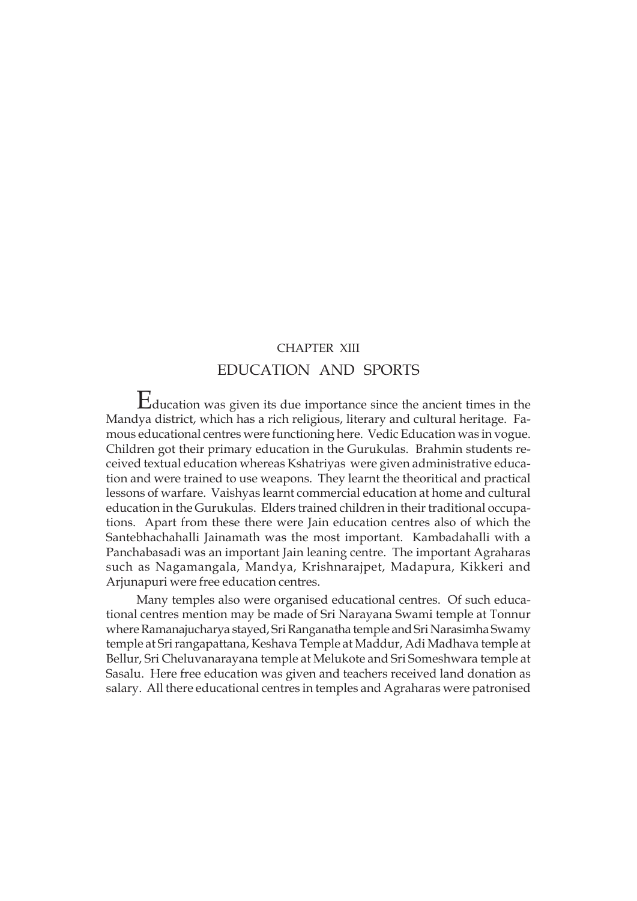# CHAPTER XIII EDUCATION AND SPORTS

Education was given its due importance since the ancient times in the Mandya district, which has a rich religious, literary and cultural heritage. Famous educational centres were functioning here. Vedic Education was in vogue. Children got their primary education in the Gurukulas. Brahmin students received textual education whereas Kshatriyas were given administrative education and were trained to use weapons. They learnt the theoritical and practical lessons of warfare. Vaishyas learnt commercial education at home and cultural education in the Gurukulas. Elders trained children in their traditional occupations. Apart from these there were Jain education centres also of which the Santebhachahalli Jainamath was the most important. Kambadahalli with a Panchabasadi was an important Jain leaning centre. The important Agraharas such as Nagamangala, Mandya, Krishnarajpet, Madapura, Kikkeri and Arjunapuri were free education centres.

Many temples also were organised educational centres. Of such educational centres mention may be made of Sri Narayana Swami temple at Tonnur where Ramanajucharya stayed, Sri Ranganatha temple and Sri Narasimha Swamy temple at Sri rangapattana, Keshava Temple at Maddur, Adi Madhava temple at Bellur, Sri Cheluvanarayana temple at Melukote and Sri Someshwara temple at Sasalu. Here free education was given and teachers received land donation as salary. All there educational centres in temples and Agraharas were patronised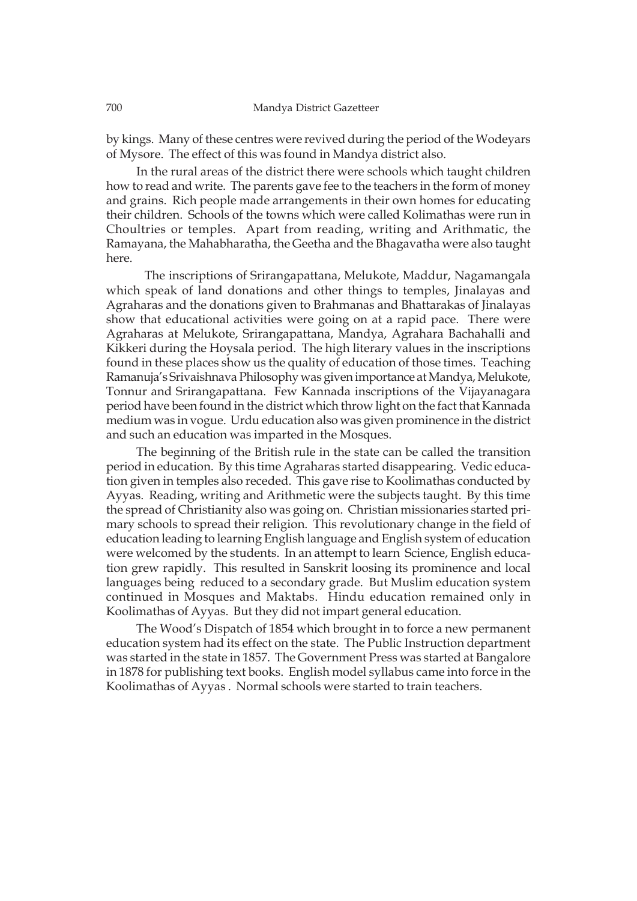by kings. Many of these centres were revived during the period of the Wodeyars of Mysore. The effect of this was found in Mandya district also.

In the rural areas of the district there were schools which taught children how to read and write. The parents gave fee to the teachers in the form of money and grains. Rich people made arrangements in their own homes for educating their children. Schools of the towns which were called Kolimathas were run in Choultries or temples. Apart from reading, writing and Arithmatic, the Ramayana, the Mahabharatha, the Geetha and the Bhagavatha were also taught here.

The inscriptions of Srirangapattana, Melukote, Maddur, Nagamangala which speak of land donations and other things to temples, Jinalayas and Agraharas and the donations given to Brahmanas and Bhattarakas of Jinalayas show that educational activities were going on at a rapid pace. There were Agraharas at Melukote, Srirangapattana, Mandya, Agrahara Bachahalli and Kikkeri during the Hoysala period. The high literary values in the inscriptions found in these places show us the quality of education of those times. Teaching Ramanuja's Srivaishnava Philosophy was given importance at Mandya, Melukote, Tonnur and Srirangapattana. Few Kannada inscriptions of the Vijayanagara period have been found in the district which throw light on the fact that Kannada medium was in vogue. Urdu education also was given prominence in the district and such an education was imparted in the Mosques.

The beginning of the British rule in the state can be called the transition period in education. By this time Agraharas started disappearing. Vedic education given in temples also receded. This gave rise to Koolimathas conducted by Ayyas. Reading, writing and Arithmetic were the subjects taught. By this time the spread of Christianity also was going on. Christian missionaries started primary schools to spread their religion. This revolutionary change in the field of education leading to learning English language and English system of education were welcomed by the students. In an attempt to learn Science, English education grew rapidly. This resulted in Sanskrit loosing its prominence and local languages being reduced to a secondary grade. But Muslim education system continued in Mosques and Maktabs. Hindu education remained only in Koolimathas of Ayyas. But they did not impart general education.

The Wood's Dispatch of 1854 which brought in to force a new permanent education system had its effect on the state. The Public Instruction department was started in the state in 1857. The Government Press was started at Bangalore in 1878 for publishing text books. English model syllabus came into force in the Koolimathas of Ayyas . Normal schools were started to train teachers.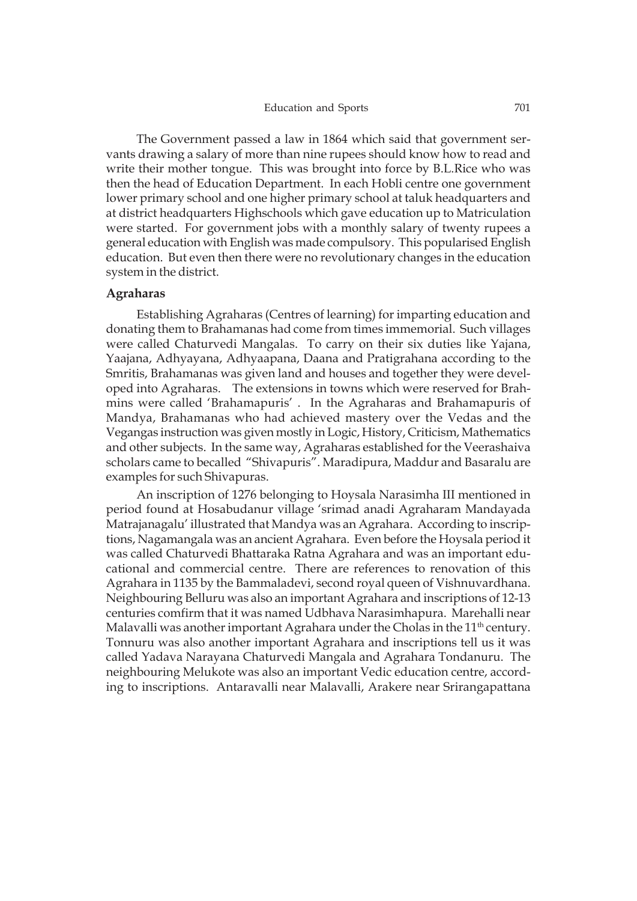The Government passed a law in 1864 which said that government servants drawing a salary of more than nine rupees should know how to read and write their mother tongue. This was brought into force by B.L.Rice who was then the head of Education Department. In each Hobli centre one government lower primary school and one higher primary school at taluk headquarters and at district headquarters Highschools which gave education up to Matriculation were started. For government jobs with a monthly salary of twenty rupees a general education with English was made compulsory. This popularised English education. But even then there were no revolutionary changes in the education system in the district.

#### **Agraharas**

Establishing Agraharas (Centres of learning) for imparting education and donating them to Brahamanas had come from times immemorial. Such villages were called Chaturvedi Mangalas. To carry on their six duties like Yajana, Yaajana, Adhyayana, Adhyaapana, Daana and Pratigrahana according to the Smritis, Brahamanas was given land and houses and together they were developed into Agraharas. The extensions in towns which were reserved for Brahmins were called 'Brahamapuris' . In the Agraharas and Brahamapuris of Mandya, Brahamanas who had achieved mastery over the Vedas and the Vegangas instruction was given mostly in Logic, History, Criticism, Mathematics and other subjects. In the same way, Agraharas established for the Veerashaiva scholars came to becalled "Shivapuris". Maradipura, Maddur and Basaralu are examples for such Shivapuras.

An inscription of 1276 belonging to Hoysala Narasimha III mentioned in period found at Hosabudanur village 'srimad anadi Agraharam Mandayada Matrajanagalu' illustrated that Mandya was an Agrahara. According to inscriptions, Nagamangala was an ancient Agrahara. Even before the Hoysala period it was called Chaturvedi Bhattaraka Ratna Agrahara and was an important educational and commercial centre. There are references to renovation of this Agrahara in 1135 by the Bammaladevi, second royal queen of Vishnuvardhana. Neighbouring Belluru was also an important Agrahara and inscriptions of 12-13 centuries comfirm that it was named Udbhava Narasimhapura. Marehalli near Malavalli was another important Agrahara under the Cholas in the  $11<sup>th</sup>$  century. Tonnuru was also another important Agrahara and inscriptions tell us it was called Yadava Narayana Chaturvedi Mangala and Agrahara Tondanuru. The neighbouring Melukote was also an important Vedic education centre, according to inscriptions. Antaravalli near Malavalli, Arakere near Srirangapattana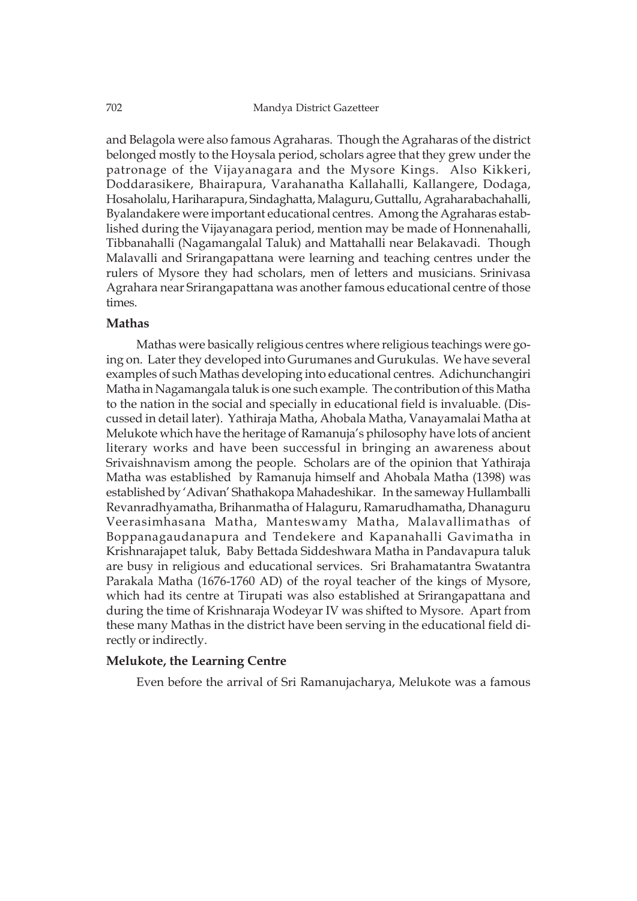and Belagola were also famous Agraharas. Though the Agraharas of the district belonged mostly to the Hoysala period, scholars agree that they grew under the patronage of the Vijayanagara and the Mysore Kings. Also Kikkeri, Doddarasikere, Bhairapura, Varahanatha Kallahalli, Kallangere, Dodaga, Hosaholalu, Hariharapura, Sindaghatta, Malaguru, Guttallu, Agraharabachahalli, Byalandakere were important educational centres. Among the Agraharas established during the Vijayanagara period, mention may be made of Honnenahalli, Tibbanahalli (Nagamangalal Taluk) and Mattahalli near Belakavadi. Though Malavalli and Srirangapattana were learning and teaching centres under the rulers of Mysore they had scholars, men of letters and musicians. Srinivasa Agrahara near Srirangapattana was another famous educational centre of those times.

# **Mathas**

Mathas were basically religious centres where religious teachings were going on. Later they developed into Gurumanes and Gurukulas. We have several examples of such Mathas developing into educational centres. Adichunchangiri Matha in Nagamangala taluk is one such example. The contribution of this Matha to the nation in the social and specially in educational field is invaluable. (Discussed in detail later). Yathiraja Matha, Ahobala Matha, Vanayamalai Matha at Melukote which have the heritage of Ramanuja's philosophy have lots of ancient literary works and have been successful in bringing an awareness about Srivaishnavism among the people. Scholars are of the opinion that Yathiraja Matha was established by Ramanuja himself and Ahobala Matha (1398) was established by 'Adivan' Shathakopa Mahadeshikar. In the sameway Hullamballi Revanradhyamatha, Brihanmatha of Halaguru, Ramarudhamatha, Dhanaguru Veerasimhasana Matha, Manteswamy Matha, Malavallimathas of Boppanagaudanapura and Tendekere and Kapanahalli Gavimatha in Krishnarajapet taluk, Baby Bettada Siddeshwara Matha in Pandavapura taluk are busy in religious and educational services. Sri Brahamatantra Swatantra Parakala Matha (1676-1760 AD) of the royal teacher of the kings of Mysore, which had its centre at Tirupati was also established at Srirangapattana and during the time of Krishnaraja Wodeyar IV was shifted to Mysore. Apart from these many Mathas in the district have been serving in the educational field directly or indirectly.

# **Melukote, the Learning Centre**

Even before the arrival of Sri Ramanujacharya, Melukote was a famous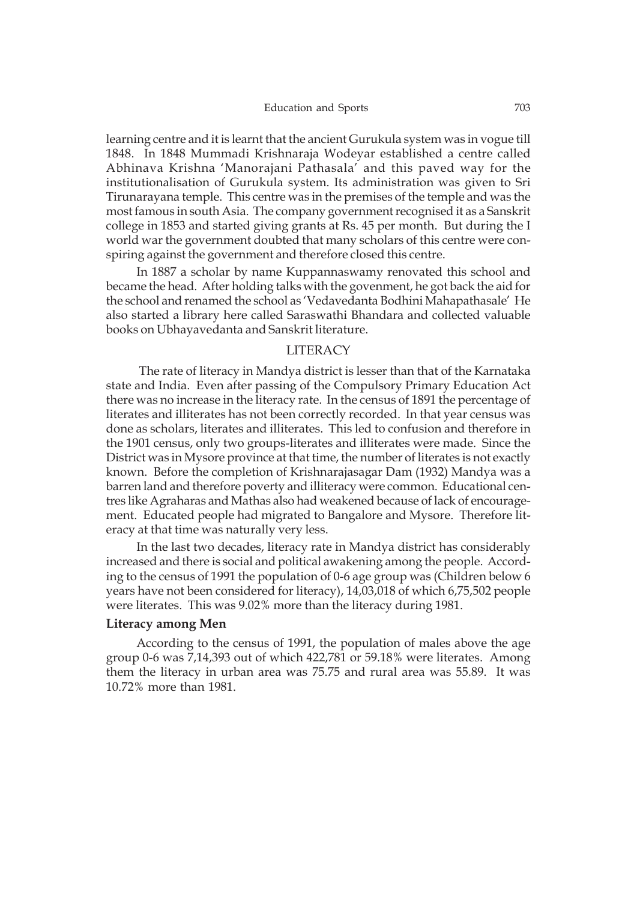#### Education and Sports 703

learning centre and it is learnt that the ancient Gurukula system was in vogue till 1848. In 1848 Mummadi Krishnaraja Wodeyar established a centre called Abhinava Krishna 'Manorajani Pathasala' and this paved way for the institutionalisation of Gurukula system. Its administration was given to Sri Tirunarayana temple. This centre was in the premises of the temple and was the most famous in south Asia. The company government recognised it as a Sanskrit college in 1853 and started giving grants at Rs. 45 per month. But during the I world war the government doubted that many scholars of this centre were conspiring against the government and therefore closed this centre.

In 1887 a scholar by name Kuppannaswamy renovated this school and became the head. After holding talks with the govenment, he got back the aid for the school and renamed the school as 'Vedavedanta Bodhini Mahapathasale' He also started a library here called Saraswathi Bhandara and collected valuable books on Ubhayavedanta and Sanskrit literature.

#### LITERACY

 The rate of literacy in Mandya district is lesser than that of the Karnataka state and India. Even after passing of the Compulsory Primary Education Act there was no increase in the literacy rate. In the census of 1891 the percentage of literates and illiterates has not been correctly recorded. In that year census was done as scholars, literates and illiterates. This led to confusion and therefore in the 1901 census, only two groups-literates and illiterates were made. Since the District was in Mysore province at that time, the number of literates is not exactly known. Before the completion of Krishnarajasagar Dam (1932) Mandya was a barren land and therefore poverty and illiteracy were common. Educational centres like Agraharas and Mathas also had weakened because of lack of encouragement. Educated people had migrated to Bangalore and Mysore. Therefore literacy at that time was naturally very less.

In the last two decades, literacy rate in Mandya district has considerably increased and there is social and political awakening among the people. According to the census of 1991 the population of 0-6 age group was (Children below 6 years have not been considered for literacy), 14,03,018 of which 6,75,502 people were literates. This was 9.02% more than the literacy during 1981.

#### **Literacy among Men**

According to the census of 1991, the population of males above the age group 0-6 was 7,14,393 out of which 422,781 or 59.18% were literates. Among them the literacy in urban area was 75.75 and rural area was 55.89. It was 10.72% more than 1981.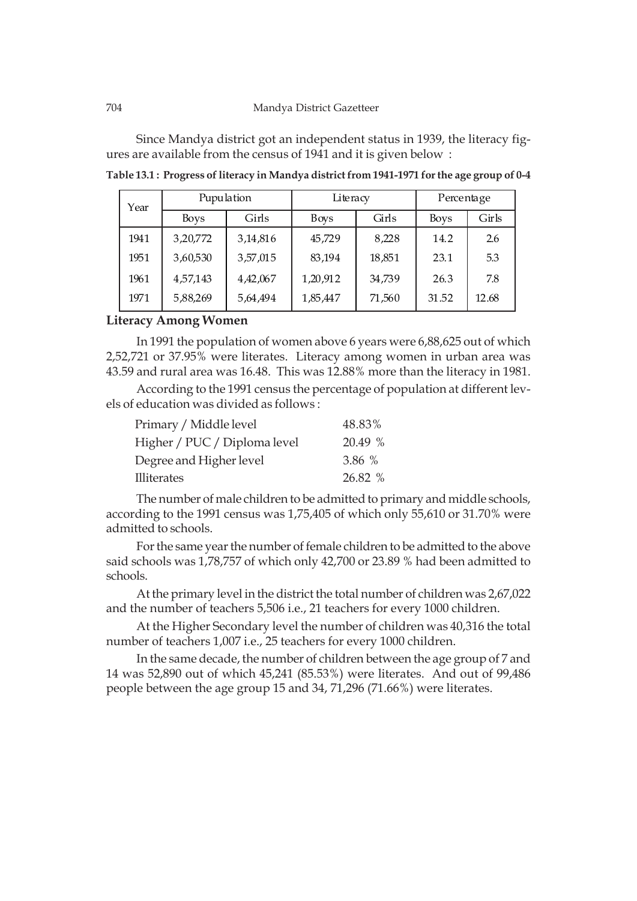Since Mandya district got an independent status in 1939, the literacy figures are available from the census of 1941 and it is given below :

| Year | Pupulation  |          | Literacy |        | Percentage  |       |
|------|-------------|----------|----------|--------|-------------|-------|
|      | <b>Boys</b> | Girls    | Boys     | Girls  | <b>Boys</b> | Girls |
| 1941 | 3,20,772    | 3,14,816 | 45.729   | 8.228  | 14.2        | 2.6   |
| 1951 | 3,60,530    | 3,57,015 | 83,194   | 18,851 | 23.1        | 5.3   |
| 1961 | 4,57,143    | 4,42,067 | 1,20,912 | 34,739 | 26.3        | 7.8   |
| 1971 | 5,88,269    | 5,64,494 | 1,85,447 | 71,560 | 31.52       | 12.68 |

**Table 13.1 : Progress of literacy in Mandya district from 1941-1971 for the age group of 0-4**

#### **Literacy Among Women**

In 1991 the population of women above 6 years were 6,88,625 out of which 2,52,721 or 37.95% were literates. Literacy among women in urban area was 43.59 and rural area was 16.48. This was 12.88% more than the literacy in 1981.

According to the 1991 census the percentage of population at different levels of education was divided as follows :

| Primary / Middle level       | 48.83%  |
|------------------------------|---------|
| Higher / PUC / Diploma level | 20.49 % |
| Degree and Higher level      | 3.86%   |
| <b>Illiterates</b>           | 26.82 % |

The number of male children to be admitted to primary and middle schools, according to the 1991 census was 1,75,405 of which only 55,610 or 31.70% were admitted to schools.

For the same year the number of female children to be admitted to the above said schools was 1,78,757 of which only 42,700 or 23.89 % had been admitted to schools.

At the primary level in the district the total number of children was 2,67,022 and the number of teachers 5,506 i.e., 21 teachers for every 1000 children.

At the Higher Secondary level the number of children was 40,316 the total number of teachers 1,007 i.e., 25 teachers for every 1000 children.

In the same decade, the number of children between the age group of 7 and 14 was 52,890 out of which 45,241 (85.53%) were literates. And out of 99,486 people between the age group 15 and 34, 71,296 (71.66%) were literates.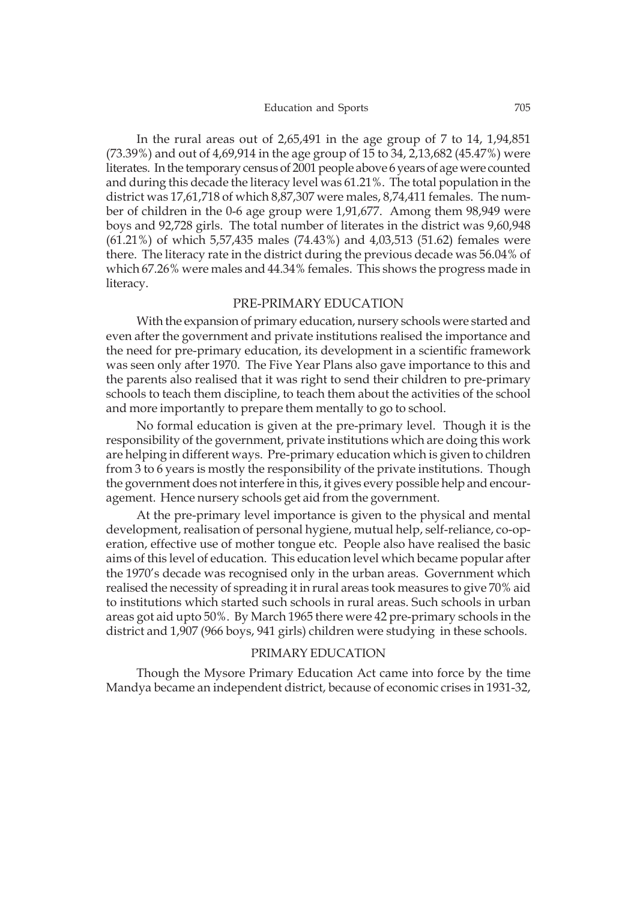In the rural areas out of 2,65,491 in the age group of 7 to 14, 1,94,851 (73.39%) and out of 4,69,914 in the age group of 15 to 34, 2,13,682 (45.47%) were literates. In the temporary census of 2001 people above 6 years of age were counted and during this decade the literacy level was 61.21%. The total population in the district was 17,61,718 of which 8,87,307 were males, 8,74,411 females. The number of children in the 0-6 age group were 1,91,677. Among them 98,949 were boys and 92,728 girls. The total number of literates in the district was 9,60,948 (61.21%) of which 5,57,435 males (74.43%) and 4,03,513 (51.62) females were there. The literacy rate in the district during the previous decade was 56.04% of which 67.26% were males and 44.34% females. This shows the progress made in literacy.

#### PRE-PRIMARY EDUCATION

With the expansion of primary education, nursery schools were started and even after the government and private institutions realised the importance and the need for pre-primary education, its development in a scientific framework was seen only after 1970. The Five Year Plans also gave importance to this and the parents also realised that it was right to send their children to pre-primary schools to teach them discipline, to teach them about the activities of the school and more importantly to prepare them mentally to go to school.

No formal education is given at the pre-primary level. Though it is the responsibility of the government, private institutions which are doing this work are helping in different ways. Pre-primary education which is given to children from 3 to 6 years is mostly the responsibility of the private institutions. Though the government does not interfere in this, it gives every possible help and encouragement. Hence nursery schools get aid from the government.

At the pre-primary level importance is given to the physical and mental development, realisation of personal hygiene, mutual help, self-reliance, co-operation, effective use of mother tongue etc. People also have realised the basic aims of this level of education. This education level which became popular after the 1970's decade was recognised only in the urban areas. Government which realised the necessity of spreading it in rural areas took measures to give 70% aid to institutions which started such schools in rural areas. Such schools in urban areas got aid upto 50%. By March 1965 there were 42 pre-primary schools in the district and 1,907 (966 boys, 941 girls) children were studying in these schools.

#### PRIMARY EDUCATION

Though the Mysore Primary Education Act came into force by the time Mandya became an independent district, because of economic crises in 1931-32,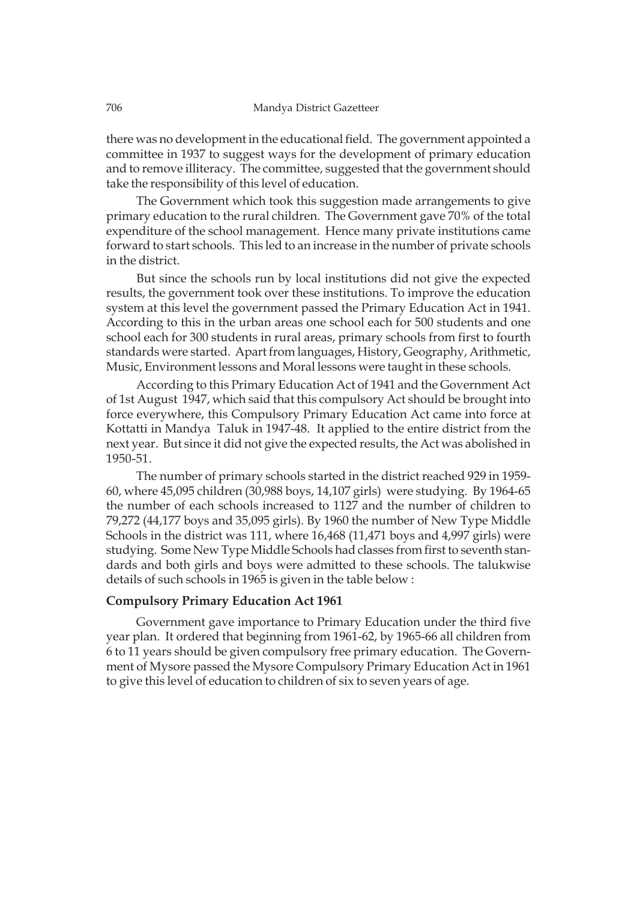there was no development in the educational field. The government appointed a committee in 1937 to suggest ways for the development of primary education and to remove illiteracy. The committee, suggested that the government should take the responsibility of this level of education.

The Government which took this suggestion made arrangements to give primary education to the rural children. The Government gave 70% of the total expenditure of the school management. Hence many private institutions came forward to start schools. This led to an increase in the number of private schools in the district.

But since the schools run by local institutions did not give the expected results, the government took over these institutions. To improve the education system at this level the government passed the Primary Education Act in 1941. According to this in the urban areas one school each for 500 students and one school each for 300 students in rural areas, primary schools from first to fourth standards were started. Apart from languages, History, Geography, Arithmetic, Music, Environment lessons and Moral lessons were taught in these schools.

According to this Primary Education Act of 1941 and the Government Act of 1st August 1947, which said that this compulsory Act should be brought into force everywhere, this Compulsory Primary Education Act came into force at Kottatti in Mandya Taluk in 1947-48. It applied to the entire district from the next year. But since it did not give the expected results, the Act was abolished in 1950-51.

The number of primary schools started in the district reached 929 in 1959- 60, where 45,095 children (30,988 boys, 14,107 girls) were studying. By 1964-65 the number of each schools increased to 1127 and the number of children to 79,272 (44,177 boys and 35,095 girls). By 1960 the number of New Type Middle Schools in the district was 111, where 16,468 (11,471 boys and 4,997 girls) were studying. Some New Type Middle Schools had classes from first to seventh standards and both girls and boys were admitted to these schools. The talukwise details of such schools in 1965 is given in the table below :

#### **Compulsory Primary Education Act 1961**

Government gave importance to Primary Education under the third five year plan. It ordered that beginning from 1961-62, by 1965-66 all children from 6 to 11 years should be given compulsory free primary education. The Government of Mysore passed the Mysore Compulsory Primary Education Act in 1961 to give this level of education to children of six to seven years of age.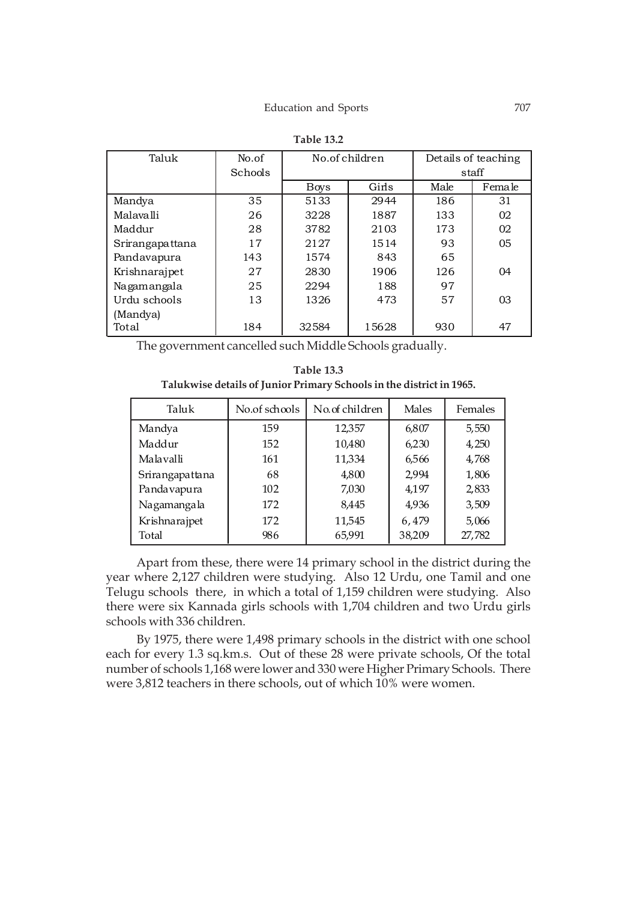| Taluk           | No.of   | No.of children |       | Details of teaching |                |
|-----------------|---------|----------------|-------|---------------------|----------------|
|                 | Schools |                |       | staff               |                |
|                 |         | Boys           | Girls | Male                | Female         |
| Mandya          | 35      | 5133           | 2944  | 186                 | 31             |
| Malayalli       | 26      | 3228           | 1887  | 133                 | 02             |
| Maddur          | 28      | 3782           | 2103  | 173                 | 02             |
| Srirangapattana | 17      | 2127           | 1514  | 93                  | 05             |
| Pandavapura     | 143     | 1574           | 843   | 65                  |                |
| Krishnarajpet   | 27      | 2830           | 1906  | 126                 | 04             |
| Nagamangala     | 25      | 2294           | 188   | 97                  |                |
| Urdu schools    | 13      | 1326           | 473   | 57                  | 0 <sub>3</sub> |
| (Mandya)        |         |                |       |                     |                |
| Total           | 184     | 32584          | 15628 | 930                 | 47             |

| Table 13.2 |  |
|------------|--|
|------------|--|

The government cancelled such Middle Schools gradually.

| <b>Table 13.3</b>                                                    |  |
|----------------------------------------------------------------------|--|
| Talukwise details of Junior Primary Schools in the district in 1965. |  |

| Taluk           | No.of schools | No.of children | Males  | Females |
|-----------------|---------------|----------------|--------|---------|
| Mandya          | 159           | 12,357         | 6,807  | 5,550   |
| Maddur          | 152           | 10,480         | 6,230  | 4,250   |
| Malavalli       | 161           | 11,334         | 6,566  | 4,768   |
| Srirangapattana | 68            | 4,800          | 2,994  | 1,806   |
| Pandavapura     | 102           | 7,030          | 4,197  | 2,833   |
| Nagamangala     | 172           | 8,445          | 4,936  | 3,509   |
| Krishnarajpet   | 172           | 11,545         | 6,479  | 5,066   |
| Total           | 986           | 65,991         | 38,209 | 27,782  |

Apart from these, there were 14 primary school in the district during the year where 2,127 children were studying. Also 12 Urdu, one Tamil and one Telugu schools there, in which a total of 1,159 children were studying. Also there were six Kannada girls schools with 1,704 children and two Urdu girls schools with 336 children.

By 1975, there were 1,498 primary schools in the district with one school each for every 1.3 sq.km.s. Out of these 28 were private schools, Of the total number of schools 1,168 were lower and 330 were Higher Primary Schools. There were 3,812 teachers in there schools, out of which 10% were women.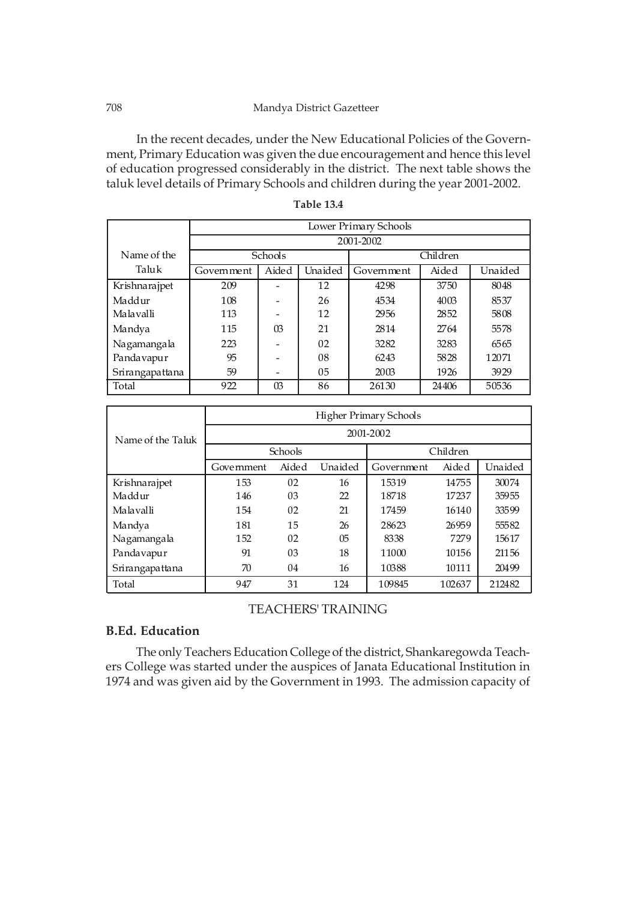#### 708 Mandya District Gazetteer

In the recent decades, under the New Educational Policies of the Government, Primary Education was given the due encouragement and hence this level of education progressed considerably in the district. The next table shows the taluk level details of Primary Schools and children during the year 2001-2002.

|                 | Lower Primary Schools |           |         |            |          |         |  |  |  |
|-----------------|-----------------------|-----------|---------|------------|----------|---------|--|--|--|
|                 |                       | 2001-2002 |         |            |          |         |  |  |  |
| Name of the     |                       | Schools   |         |            | Children |         |  |  |  |
| Taluk           | Government            | Aided     | Unaided | Government | Aided    | Unaided |  |  |  |
| Krishnarajpet   | 209                   |           | 12      | 4298       | 3750     | 8048    |  |  |  |
| Maddur          | 108                   |           | 26      | 4534       | 4003     | 8537    |  |  |  |
| Malavalli       | 113                   |           | 12      | 2956       | 2852     | 5808    |  |  |  |
| Mandya          | 115                   | $\Omega$  | 21      | 2814       | 2764     | 5578    |  |  |  |
| Nagamangala     | 223                   |           | 02      | 3282       | 3283     | 6565    |  |  |  |
| Pandavapur      | 95                    |           | 08      | 6243       | 5828     | 12071   |  |  |  |
| Srirangapattana | 59                    |           | 05      | 2003       | 1926     | 3929    |  |  |  |
| Total           | 922                   | 03        | 86      | 26130      | 24406    | 50536   |  |  |  |

**Table 13.4**

|                   | Higher Primary Schools |         |                |            |          |         |  |  |
|-------------------|------------------------|---------|----------------|------------|----------|---------|--|--|
| Name of the Taluk | 2001-2002              |         |                |            |          |         |  |  |
|                   |                        | Schools |                |            | Children |         |  |  |
|                   | Government             | Aided   | Unaided        | Government | Aided    | Unaided |  |  |
| Krishnarajpet     | 153                    | 02      | 16             | 15319      | 14755    | 30074   |  |  |
| Maddur            | 146                    | 03      | 22             | 18718      | 17237    | 35955   |  |  |
| Malavalli         | 154                    | 02      | 21             | 17459      | 16140    | 33599   |  |  |
| Mandya            | 181                    | 15      | 26             | 28623      | 26959    | 55582   |  |  |
| Nagamangala       | 152                    | 02      | 0 <sub>5</sub> | 8338       | 7279     | 15617   |  |  |
| Pandavapur        | 91                     | 03      | 18             | 11000      | 10156    | 21156   |  |  |
| Srirangapattana   | 70                     | 04      | 16             | 10388      | 10111    | 20499   |  |  |
| Total             | 947                    | 31      | 124            | 109845     | 102637   | 212482  |  |  |

# TEACHERS' TRAINING

# **B.Ed. Education**

The only Teachers Education College of the district, Shankaregowda Teachers College was started under the auspices of Janata Educational Institution in 1974 and was given aid by the Government in 1993. The admission capacity of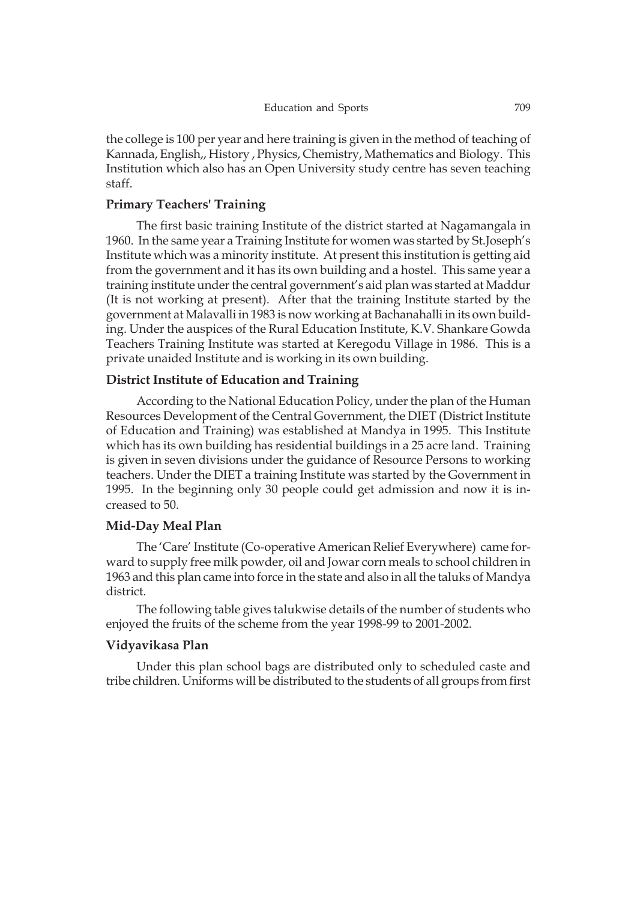the college is 100 per year and here training is given in the method of teaching of Kannada, English,, History , Physics, Chemistry, Mathematics and Biology. This Institution which also has an Open University study centre has seven teaching staff.

# **Primary Teachers' Training**

The first basic training Institute of the district started at Nagamangala in 1960. In the same year a Training Institute for women was started by St.Joseph's Institute which was a minority institute. At present this institution is getting aid from the government and it has its own building and a hostel. This same year a training institute under the central government's aid plan was started at Maddur (It is not working at present). After that the training Institute started by the government at Malavalli in 1983 is now working at Bachanahalli in its own building. Under the auspices of the Rural Education Institute, K.V. Shankare Gowda Teachers Training Institute was started at Keregodu Village in 1986. This is a private unaided Institute and is working in its own building.

# **District Institute of Education and Training**

According to the National Education Policy, under the plan of the Human Resources Development of the Central Government, the DIET (District Institute of Education and Training) was established at Mandya in 1995. This Institute which has its own building has residential buildings in a 25 acre land. Training is given in seven divisions under the guidance of Resource Persons to working teachers. Under the DIET a training Institute was started by the Government in 1995. In the beginning only 30 people could get admission and now it is increased to 50.

# **Mid-Day Meal Plan**

The 'Care' Institute (Co-operative American Relief Everywhere) came forward to supply free milk powder, oil and Jowar corn meals to school children in 1963 and this plan came into force in the state and also in all the taluks of Mandya district.

The following table gives talukwise details of the number of students who enjoyed the fruits of the scheme from the year 1998-99 to 2001-2002.

#### **Vidyavikasa Plan**

Under this plan school bags are distributed only to scheduled caste and tribe children. Uniforms will be distributed to the students of all groups from first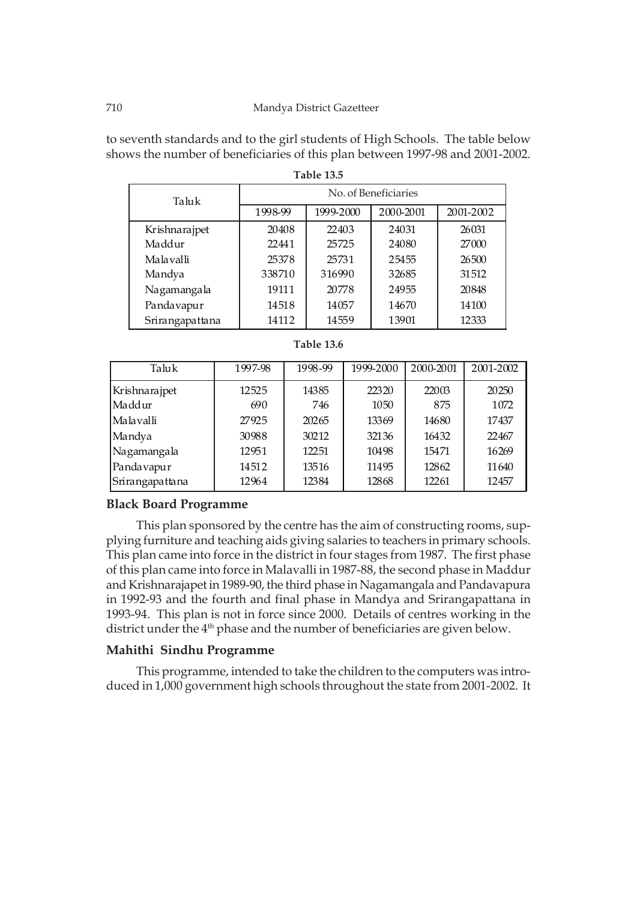#### 710 Mandya District Gazetteer

to seventh standards and to the girl students of High Schools. The table below shows the number of beneficiaries of this plan between 1997-98 and 2001-2002.

| 1 U.VIL 190     |                      |           |           |           |  |  |
|-----------------|----------------------|-----------|-----------|-----------|--|--|
| Taluk           | No. of Beneficiaries |           |           |           |  |  |
|                 | 1998-99              | 1999-2000 | 2000-2001 | 2001-2002 |  |  |
| Krishnarajpet   | 20408                | 22403     | 24031     | 26031     |  |  |
| Maddur          | 22441                | 25725     | 24080     | 27000     |  |  |
| Malavalli       | 25378                | 25731     | 25455     | 26500     |  |  |
| Mandya          | 338710               | 316990    | 32685     | 31512     |  |  |
| Nagamangala     | 19111                | 20778     | 24955     | 20848     |  |  |
| Pandavapur      | 14518                | 14057     | 14670     | 14100     |  |  |
| Srirangapattana | 14112                | 14559     | 13901     | 12333     |  |  |

| Table 13.6 |  |
|------------|--|
|------------|--|

| Taluk           | 1997-98 | 1998-99 | 1999-2000 | 2000-2001 | 2001-2002 |
|-----------------|---------|---------|-----------|-----------|-----------|
| Krishnarajpet   | 12525   | 14385   | 22320     | 22003     | 20250     |
| Maddur          | 690     | 746     | 1050      | 875       | 1072      |
| Malavalli       | 27925   | 20265   | 13369     | 14680     | 17437     |
| Mandya          | 30988   | 30212   | 32136     | 16432     | 22467     |
| Nagamangala     | 12951   | 12251   | 10498     | 15471     | 16269     |
| Pandavapur      | 14512   | 13516   | 11495     | 12862     | 11640     |
| Srirangapattana | 12964   | 12384   | 12868     | 12261     | 12457     |

# **Black Board Programme**

This plan sponsored by the centre has the aim of constructing rooms, supplying furniture and teaching aids giving salaries to teachers in primary schools. This plan came into force in the district in four stages from 1987. The first phase of this plan came into force in Malavalli in 1987-88, the second phase in Maddur and Krishnarajapet in 1989-90, the third phase in Nagamangala and Pandavapura in 1992-93 and the fourth and final phase in Mandya and Srirangapattana in 1993-94. This plan is not in force since 2000. Details of centres working in the district under the 4<sup>th</sup> phase and the number of beneficiaries are given below.

# **Mahithi Sindhu Programme**

This programme, intended to take the children to the computers was introduced in 1,000 government high schools throughout the state from 2001-2002. It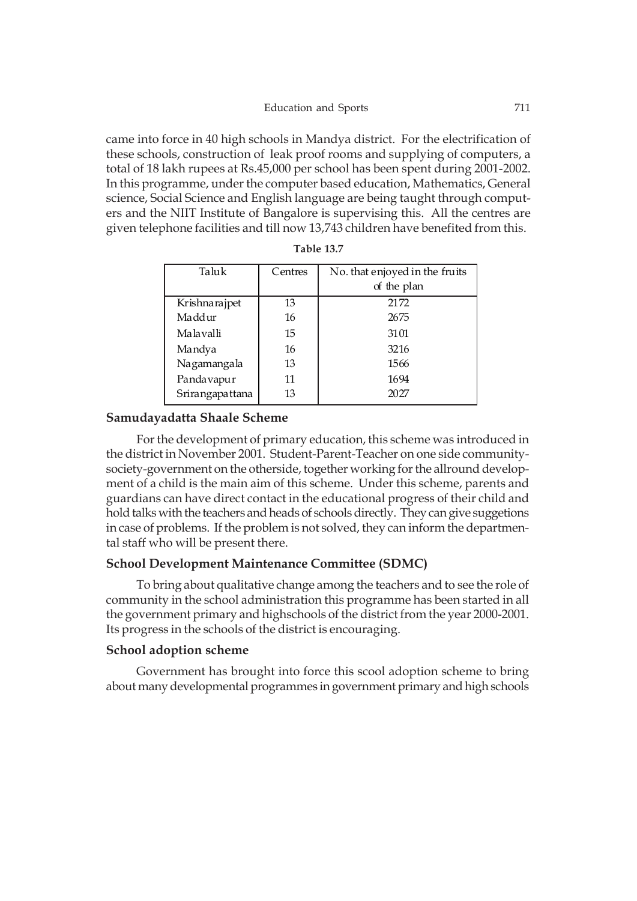came into force in 40 high schools in Mandya district. For the electrification of these schools, construction of leak proof rooms and supplying of computers, a total of 18 lakh rupees at Rs.45,000 per school has been spent during 2001-2002. In this programme, under the computer based education, Mathematics, General science, Social Science and English language are being taught through computers and the NIIT Institute of Bangalore is supervising this. All the centres are given telephone facilities and till now 13,743 children have benefited from this.

| Taluk           | Centres | No. that enjoyed in the fruits |
|-----------------|---------|--------------------------------|
|                 |         | of the plan                    |
| Krishnarajpet   | 13      | 2172                           |
| Maddur          | 16      | 2675                           |
| Malavalli       | 15      | 3101                           |
| Mandya          | 16      | 3216                           |
| Nagamangala     | 13      | 1566                           |
| Pandavapur      | 11      | 1694                           |
| Srirangapattana | 13      | 2027                           |
|                 |         |                                |

**Table 13.7**

# **Samudayadatta Shaale Scheme**

For the development of primary education, this scheme was introduced in the district in November 2001. Student-Parent-Teacher on one side communitysociety-government on the otherside, together working for the allround development of a child is the main aim of this scheme. Under this scheme, parents and guardians can have direct contact in the educational progress of their child and hold talks with the teachers and heads of schools directly. They can give suggetions in case of problems. If the problem is not solved, they can inform the departmental staff who will be present there.

# **School Development Maintenance Committee (SDMC)**

To bring about qualitative change among the teachers and to see the role of community in the school administration this programme has been started in all the government primary and highschools of the district from the year 2000-2001. Its progress in the schools of the district is encouraging.

#### **School adoption scheme**

Government has brought into force this scool adoption scheme to bring about many developmental programmes in government primary and high schools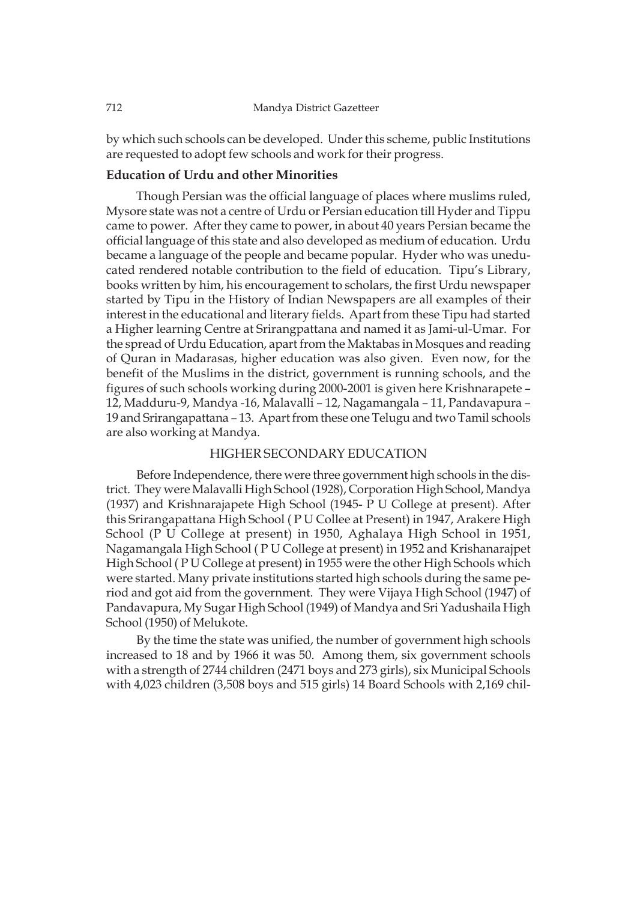by which such schools can be developed. Under this scheme, public Institutions are requested to adopt few schools and work for their progress.

# **Education of Urdu and other Minorities**

Though Persian was the official language of places where muslims ruled, Mysore state was not a centre of Urdu or Persian education till Hyder and Tippu came to power. After they came to power, in about 40 years Persian became the official language of this state and also developed as medium of education. Urdu became a language of the people and became popular. Hyder who was uneducated rendered notable contribution to the field of education. Tipu's Library, books written by him, his encouragement to scholars, the first Urdu newspaper started by Tipu in the History of Indian Newspapers are all examples of their interest in the educational and literary fields. Apart from these Tipu had started a Higher learning Centre at Srirangpattana and named it as Jami-ul-Umar. For the spread of Urdu Education, apart from the Maktabas in Mosques and reading of Quran in Madarasas, higher education was also given. Even now, for the benefit of the Muslims in the district, government is running schools, and the figures of such schools working during 2000-2001 is given here Krishnarapete – 12, Madduru-9, Mandya -16, Malavalli – 12, Nagamangala – 11, Pandavapura – 19 and Srirangapattana – 13. Apart from these one Telugu and two Tamil schools are also working at Mandya.

# HIGHER SECONDARY EDUCATION

Before Independence, there were three government high schools in the district. They were Malavalli High School (1928), Corporation High School, Mandya (1937) and Krishnarajapete High School (1945- P U College at present). After this Srirangapattana High School ( P U Collee at Present) in 1947, Arakere High School (P U College at present) in 1950, Aghalaya High School in 1951, Nagamangala High School ( P U College at present) in 1952 and Krishanarajpet High School ( P U College at present) in 1955 were the other High Schools which were started. Many private institutions started high schools during the same period and got aid from the government. They were Vijaya High School (1947) of Pandavapura, My Sugar High School (1949) of Mandya and Sri Yadushaila High School (1950) of Melukote.

By the time the state was unified, the number of government high schools increased to 18 and by 1966 it was 50. Among them, six government schools with a strength of 2744 children (2471 boys and 273 girls), six Municipal Schools with 4,023 children (3,508 boys and 515 girls) 14 Board Schools with 2,169 chil-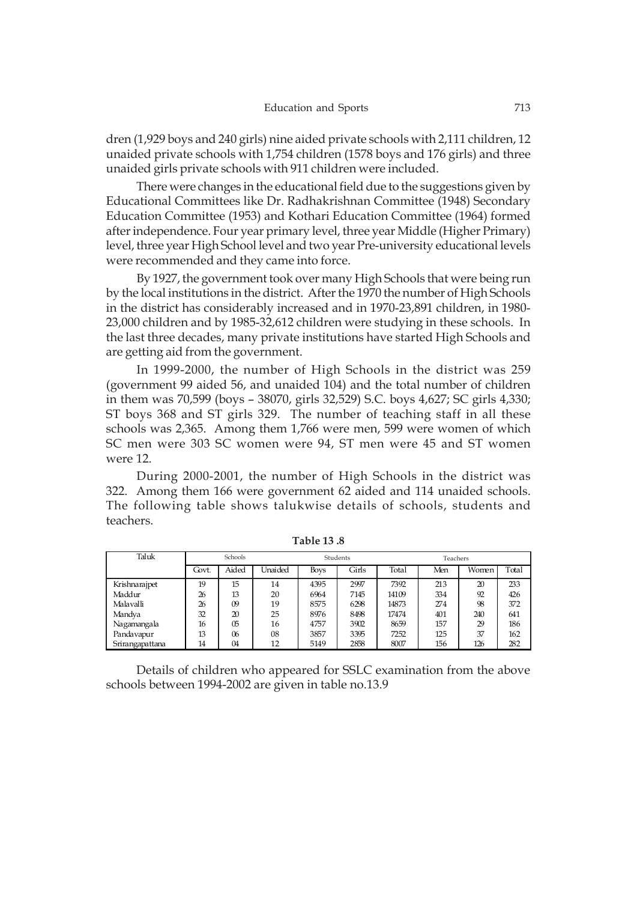dren (1,929 boys and 240 girls) nine aided private schools with 2,111 children, 12 unaided private schools with 1,754 children (1578 boys and 176 girls) and three unaided girls private schools with 911 children were included.

There were changes in the educational field due to the suggestions given by Educational Committees like Dr. Radhakrishnan Committee (1948) Secondary Education Committee (1953) and Kothari Education Committee (1964) formed after independence. Four year primary level, three year Middle (Higher Primary) level, three year High School level and two year Pre-university educational levels were recommended and they came into force.

By 1927, the government took over many High Schools that were being run by the local institutions in the district. After the 1970 the number of High Schools in the district has considerably increased and in 1970-23,891 children, in 1980- 23,000 children and by 1985-32,612 children were studying in these schools. In the last three decades, many private institutions have started High Schools and are getting aid from the government.

In 1999-2000, the number of High Schools in the district was 259 (government 99 aided 56, and unaided 104) and the total number of children in them was 70,599 (boys – 38070, girls 32,529) S.C. boys 4,627; SC girls 4,330; ST boys 368 and ST girls 329. The number of teaching staff in all these schools was 2,365. Among them 1,766 were men, 599 were women of which SC men were 303 SC women were 94, ST men were 45 and ST women were 12.

During 2000-2001, the number of High Schools in the district was 322. Among them 166 were government 62 aided and 114 unaided schools. The following table shows talukwise details of schools, students and teachers.

| Taluk           | Schools |       |         | Students    |       | Teachers |     |       |       |
|-----------------|---------|-------|---------|-------------|-------|----------|-----|-------|-------|
|                 | Govt.   | Aided | Unaided | <b>Boys</b> | Girls | Total    | Men | Women | Total |
| Krishnarajpet   | 19      | 15    | 14      | 4395        | 2997  | 7392     | 213 | 20    | 233   |
| Maddur          | 26      | 13    | 20      | 6964        | 7145  | 14109    | 334 | 92    | 426   |
| Malavalli       | 26      | 09    | 19      | 8575        | 6298  | 14873    | 274 | 98    | 372   |
| Mandya          | 32      | 20    | 25      | 8976        | 8498  | 17474    | 401 | 240   | 641   |
| Nagamangala     | 16      | 05    | 16      | 4757        | 3902  | 8659     | 157 | 29    | 186   |
| Pandavapur      | 13      | 06    | 08      | 3857        | 3395  | 7252     | 125 | 37    | 162   |
| Srirangapattana | 14      | 04    | 12      | 5149        | 2858  | 8007     | 156 | 126   | 282   |

**Table 13 .8**

Details of children who appeared for SSLC examination from the above schools between 1994-2002 are given in table no.13.9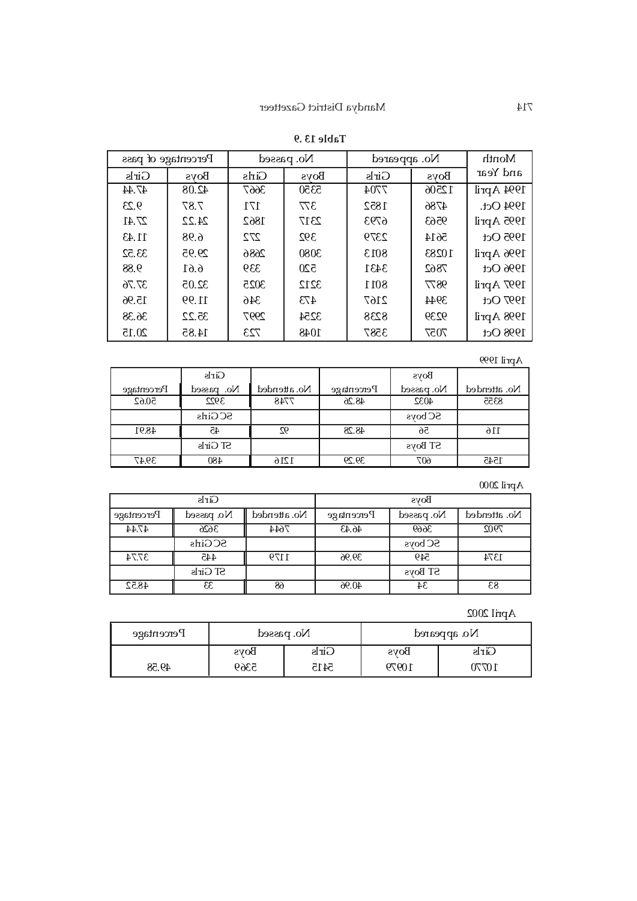|       | Percentage of pass<br>No. passed<br>No. appeared |       |             | Month |             |            |
|-------|--------------------------------------------------|-------|-------------|-------|-------------|------------|
| Girls | <b>Boys</b>                                      | Girls | <b>Boys</b> | Girls | <b>Boys</b> | and Year   |
| 47.44 | 42.08                                            | 3667  | 5350        | 7704  | 12506       | 1994 April |
| 9.23  | 7.87                                             | 171   | 377         | 1852  | 4786        | 1994 Oct.  |
| 27.41 | 24.22                                            | 1862  | 2317        | 6793  | 9563        | 1995 April |
| 11.43 | 6.98                                             | 272   | 392         | 2379  | 5614        | 1995 Oct   |
| 33.52 | 29.95                                            | 2686  | 3080        | 8013  | 10283       | 1996 April |
| 88.9  | 6.61                                             | 339   | 520         | 3431  | 7862        | 1996 Oct   |
| 37.76 | 32.05                                            | 3025  | 3212        | 8011  | 9877        | 1997 April |
| 15.96 | 11.99                                            | 346   | 473         | 2167  | 3944        | 1997 Oct   |
| 36.38 | 35.22                                            | 2997  | 3254        | 8238  | 9239        | 1998 April |
| 20.15 | 14.85                                            | 723   | 1048        | 3587  | 7057        | 1998 Oct   |

# **Table 13 .9**

# April 1999

|            | Girls           |              |            | <b>Boys</b>    |              |
|------------|-----------------|--------------|------------|----------------|--------------|
| Percentage | No. passed      | No. attended | Percentage | No. passed     | No. attended |
| 50.62      | 3922            | 7748         | 48.26      | 4032           | 8355         |
|            | <b>SCGirls</b>  |              |            | <b>SC</b> boys |              |
| 48.91      | 45              | 92           | 48.28      | 56             | 116          |
|            | <b>ST Girls</b> |              |            | ST Boys        |              |
| 39.47      | 480             | 1216         | 39.29      | 607            | 1545         |

# April 2000

|            | Girls          |              | <b>Boys</b> |                |              |
|------------|----------------|--------------|-------------|----------------|--------------|
| Percentage | No. passed     | No. attended | Percentage  | No. passed     | No. attended |
| 47.44      | 3626           | 7644         | 46.43       | 3669           | 7902         |
|            | <b>SCGirls</b> |              |             | <b>SC</b> boys |              |
| 37.74      | 445            | 1179         | 39.96       | 549            | 1374         |
|            | ST Girls       |              |             | ST Boys        |              |
| 48.52      | 33             | 68           | 40.96       | 34             | 83           |

# April 2002

| Percentage | No. passed  |       | No. appeared |       |  |
|------------|-------------|-------|--------------|-------|--|
|            | <b>Boys</b> | Girls | <b>Boys</b>  | Girls |  |
| 49.58      | 5369        | 5415  | 10979        | 1077  |  |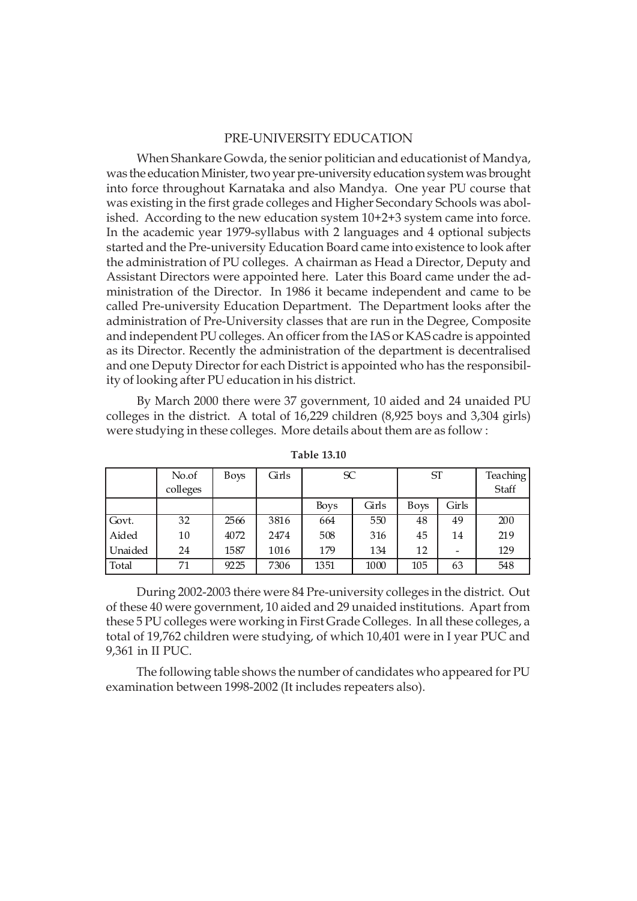### PRE-UNIVERSITY EDUCATION

When Shankare Gowda, the senior politician and educationist of Mandya, was the education Minister, two year pre-university education system was brought into force throughout Karnataka and also Mandya. One year PU course that was existing in the first grade colleges and Higher Secondary Schools was abolished. According to the new education system 10+2+3 system came into force. In the academic year 1979-syllabus with 2 languages and 4 optional subjects started and the Pre-university Education Board came into existence to look after the administration of PU colleges. A chairman as Head a Director, Deputy and Assistant Directors were appointed here. Later this Board came under the administration of the Director. In 1986 it became independent and came to be called Pre-university Education Department. The Department looks after the administration of Pre-University classes that are run in the Degree, Composite and independent PU colleges. An officer from the IAS or KAS cadre is appointed as its Director. Recently the administration of the department is decentralised and one Deputy Director for each District is appointed who has the responsibility of looking after PU education in his district.

By March 2000 there were 37 government, 10 aided and 24 unaided PU colleges in the district. A total of 16,229 children (8,925 boys and 3,304 girls) were studying in these colleges. More details about them are as follow :

|         | No.of<br>colleges | Boys | Girls | SC          |       | ST          |       | Teaching<br>Staff |
|---------|-------------------|------|-------|-------------|-------|-------------|-------|-------------------|
|         |                   |      |       | <b>Boys</b> | Girls | <b>Boys</b> | Girls |                   |
| Govt.   | 32                | 2566 | 3816  | 664         | 550   | 48          | 49    | 200               |
| Aided   | 10                | 4072 | 2474  | 508         | 316   | 45          | 14    | 219               |
| Unaided | 24                | 1587 | 1016  | 179         | 134   | 12          |       | 129               |
| Total   | 71                | 9225 | 7306  | 1351        | 1000  | 105         | 63    | 548               |

**Table 13.10**

During 2002-2003 there were 84 Pre-university colleges in the district. Out of these 40 were government, 10 aided and 29 unaided institutions. Apart from these 5 PU colleges were working in First Grade Colleges. In all these colleges, a total of 19,762 children were studying, of which 10,401 were in I year PUC and 9,361 in II PUC.

The following table shows the number of candidates who appeared for PU examination between 1998-2002 (It includes repeaters also).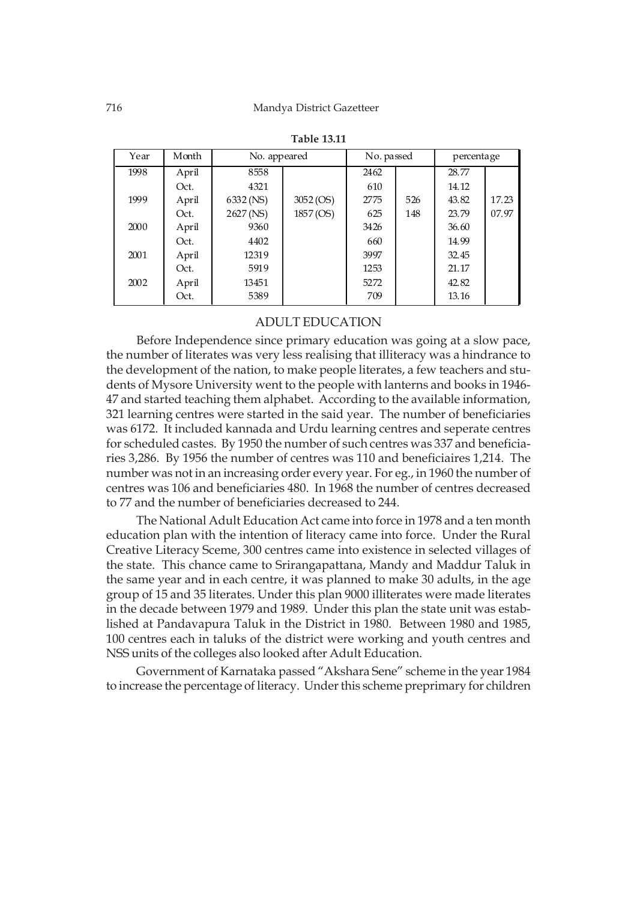| Year | Month | No. appeared |           | No. passed |     | percentage |       |
|------|-------|--------------|-----------|------------|-----|------------|-------|
| 1998 | April | 8558         |           | 2462       |     | 28.77      |       |
|      | Oct.  | 4321         |           | 610        |     | 14.12      |       |
| 1999 | April | 6332 (NS)    | 3052(OS)  | 2775       | 526 | 43.82      | 17.23 |
|      | Oct.  | 2627 (NS)    | 1857 (OS) | 625        | 148 | 23.79      | 07.97 |
| 2000 | April | 9360         |           | 3426       |     | 36.60      |       |
|      | Oct.  | 4402         |           | 660        |     | 14.99      |       |
| 2001 | April | 12319        |           | 3997       |     | 32.45      |       |
|      | Oct.  | 5919         |           | 1253       |     | 21.17      |       |
| 2002 | April | 13451        |           | 5272       |     | 42.82      |       |
|      | Oct.  | 5389         |           | 709        |     | 13.16      |       |

| <b>Table 13.11</b> |  |
|--------------------|--|
|--------------------|--|

#### ADULT EDUCATION

Before Independence since primary education was going at a slow pace, the number of literates was very less realising that illiteracy was a hindrance to the development of the nation, to make people literates, a few teachers and students of Mysore University went to the people with lanterns and books in 1946- 47 and started teaching them alphabet. According to the available information, 321 learning centres were started in the said year. The number of beneficiaries was 6172. It included kannada and Urdu learning centres and seperate centres for scheduled castes. By 1950 the number of such centres was 337 and beneficiaries 3,286. By 1956 the number of centres was 110 and beneficiaires 1,214. The number was not in an increasing order every year. For eg., in 1960 the number of centres was 106 and beneficiaries 480. In 1968 the number of centres decreased to 77 and the number of beneficiaries decreased to 244.

The National Adult Education Act came into force in 1978 and a ten month education plan with the intention of literacy came into force. Under the Rural Creative Literacy Sceme, 300 centres came into existence in selected villages of the state. This chance came to Srirangapattana, Mandy and Maddur Taluk in the same year and in each centre, it was planned to make 30 adults, in the age group of 15 and 35 literates. Under this plan 9000 illiterates were made literates in the decade between 1979 and 1989. Under this plan the state unit was established at Pandavapura Taluk in the District in 1980. Between 1980 and 1985, 100 centres each in taluks of the district were working and youth centres and NSS units of the colleges also looked after Adult Education.

Government of Karnataka passed "Akshara Sene" scheme in the year 1984 to increase the percentage of literacy. Under this scheme preprimary for children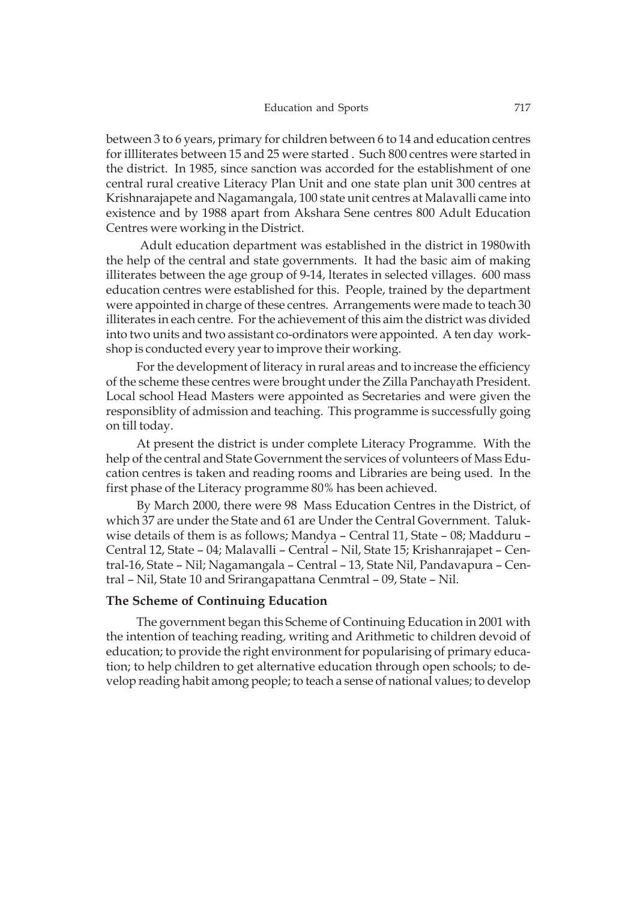between 3 to 6 years, primary for children between 6 to 14 and education centres for illliterates between 15 and 25 were started . Such 800 centres were started in the district. In 1985, since sanction was accorded for the establishment of one central rural creative Literacy Plan Unit and one state plan unit 300 centres at Krishnarajapete and Nagamangala, 100 state unit centres at Malavalli came into existence and by 1988 apart from Akshara Sene centres 800 Adult Education Centres were working in the District.

 Adult education department was established in the district in 1980with the help of the central and state governments. It had the basic aim of making illiterates between the age group of 9-14, lterates in selected villages. 600 mass education centres were established for this. People, trained by the department were appointed in charge of these centres. Arrangements were made to teach 30 illiterates in each centre. For the achievement of this aim the district was divided into two units and two assistant co-ordinators were appointed. A ten day workshop is conducted every year to improve their working.

For the development of literacy in rural areas and to increase the efficiency of the scheme these centres were brought under the Zilla Panchayath President. Local school Head Masters were appointed as Secretaries and were given the responsiblity of admission and teaching. This programme is successfully going on till today.

At present the district is under complete Literacy Programme. With the help of the central and State Government the services of volunteers of Mass Education centres is taken and reading rooms and Libraries are being used. In the first phase of the Literacy programme 80% has been achieved.

By March 2000, there were 98 Mass Education Centres in the District, of which 37 are under the State and 61 are Under the Central Government. Talukwise details of them is as follows; Mandya – Central 11, State – 08; Madduru – Central 12, State – 04; Malavalli – Central – Nil, State 15; Krishanrajapet – Central-16, State – Nil; Nagamangala – Central – 13, State Nil, Pandavapura – Central – Nil, State 10 and Srirangapattana Cenmtral – 09, State – Nil.

#### **The Scheme of Continuing Education**

The government began this Scheme of Continuing Education in 2001 with the intention of teaching reading, writing and Arithmetic to children devoid of education; to provide the right environment for popularising of primary education; to help children to get alternative education through open schools; to develop reading habit among people; to teach a sense of national values; to develop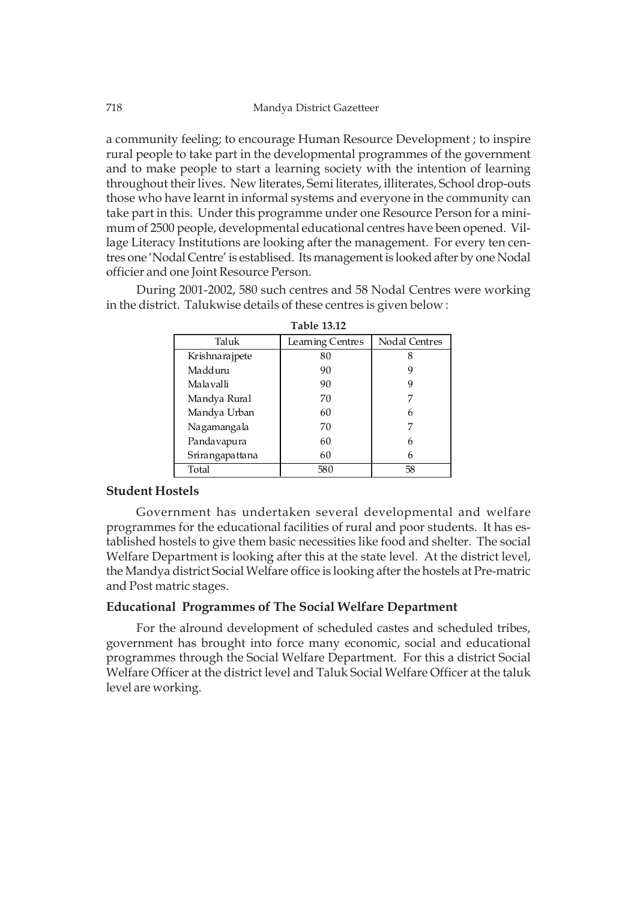a community feeling; to encourage Human Resource Development ; to inspire rural people to take part in the developmental programmes of the government and to make people to start a learning society with the intention of learning throughout their lives. New literates, Semi literates, illiterates, School drop-outs those who have learnt in informal systems and everyone in the community can take part in this. Under this programme under one Resource Person for a minimum of 2500 people, developmental educational centres have been opened. Village Literacy Institutions are looking after the management. For every ten centres one 'Nodal Centre' is establised. Its management is looked after by one Nodal officier and one Joint Resource Person.

During 2001-2002, 580 such centres and 58 Nodal Centres were working in the district. Talukwise details of these centres is given below :

| Taluk           | Learning Centres | Nodal Centres |
|-----------------|------------------|---------------|
| Krishnarajpete  | 80               |               |
| Madduru         | 90               | 9             |
| Malavalli       | 90               | 9             |
| Mandya Rural    | 70               |               |
| Mandya Urban    | 60               | 6             |
| Nagamangala     | 70               |               |
| Pandavapura     | 60               | 6             |
| Srirangapattana | 60               | 6             |
| Total           | 580              | 58            |

| <b>Table 13.12</b> |  |  |
|--------------------|--|--|
|--------------------|--|--|

#### **Student Hostels**

Government has undertaken several developmental and welfare programmes for the educational facilities of rural and poor students. It has established hostels to give them basic necessities like food and shelter. The social Welfare Department is looking after this at the state level. At the district level, the Mandya district Social Welfare office is looking after the hostels at Pre-matric and Post matric stages.

### **Educational Programmes of The Social Welfare Department**

For the alround development of scheduled castes and scheduled tribes, government has brought into force many economic, social and educational programmes through the Social Welfare Department. For this a district Social Welfare Officer at the district level and Taluk Social Welfare Officer at the taluk level are working.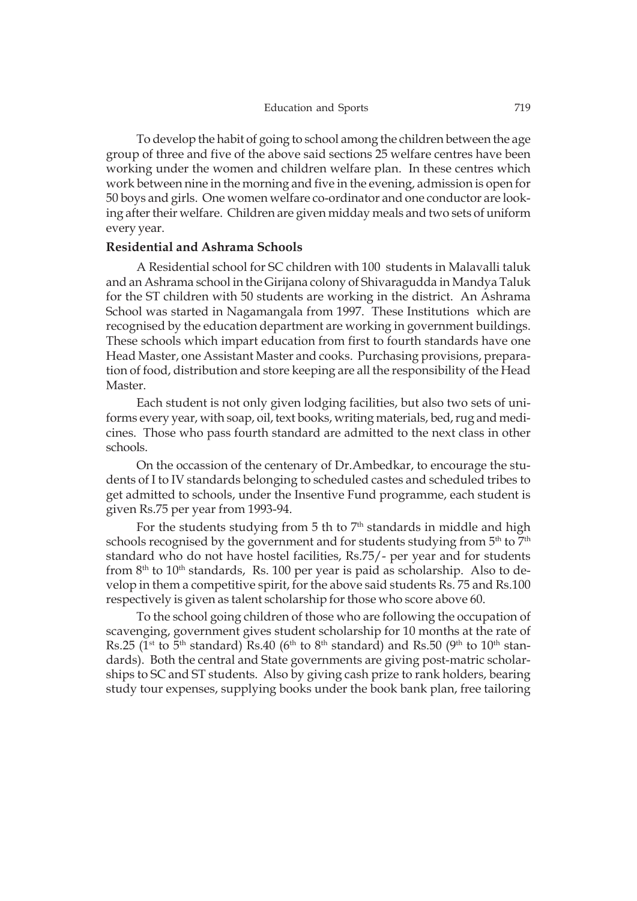To develop the habit of going to school among the children between the age group of three and five of the above said sections 25 welfare centres have been working under the women and children welfare plan. In these centres which work between nine in the morning and five in the evening, admission is open for 50 boys and girls. One women welfare co-ordinator and one conductor are looking after their welfare. Children are given midday meals and two sets of uniform every year.

#### **Residential and Ashrama Schools**

A Residential school for SC children with 100 students in Malavalli taluk and an Ashrama school in the Girijana colony of Shivaragudda in Mandya Taluk for the ST children with 50 students are working in the district. An Ashrama School was started in Nagamangala from 1997. These Institutions which are recognised by the education department are working in government buildings. These schools which impart education from first to fourth standards have one Head Master, one Assistant Master and cooks. Purchasing provisions, preparation of food, distribution and store keeping are all the responsibility of the Head Master.

Each student is not only given lodging facilities, but also two sets of uniforms every year, with soap, oil, text books, writing materials, bed, rug and medicines. Those who pass fourth standard are admitted to the next class in other schools.

On the occassion of the centenary of Dr.Ambedkar, to encourage the students of I to IV standards belonging to scheduled castes and scheduled tribes to get admitted to schools, under the Insentive Fund programme, each student is given Rs.75 per year from 1993-94.

For the students studying from 5 th to  $7<sup>th</sup>$  standards in middle and high schools recognised by the government and for students studying from 5<sup>th</sup> to 7<sup>th</sup> standard who do not have hostel facilities, Rs.75/- per year and for students from  $8<sup>th</sup>$  to  $10<sup>th</sup>$  standards, Rs. 100 per year is paid as scholarship. Also to develop in them a competitive spirit, for the above said students Rs. 75 and Rs.100 respectively is given as talent scholarship for those who score above 60.

To the school going children of those who are following the occupation of scavenging, government gives student scholarship for 10 months at the rate of Rs.25 (1<sup>st</sup> to 5<sup>th</sup> standard) Rs.40 (6<sup>th</sup> to 8<sup>th</sup> standard) and Rs.50 (9<sup>th</sup> to 10<sup>th</sup> standards). Both the central and State governments are giving post-matric scholarships to SC and ST students. Also by giving cash prize to rank holders, bearing study tour expenses, supplying books under the book bank plan, free tailoring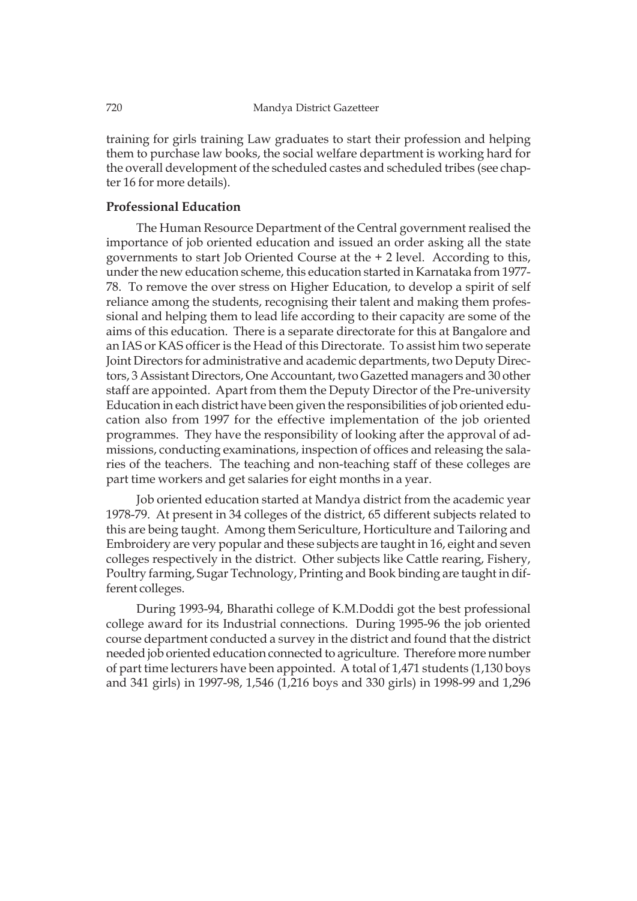training for girls training Law graduates to start their profession and helping them to purchase law books, the social welfare department is working hard for the overall development of the scheduled castes and scheduled tribes (see chapter 16 for more details).

#### **Professional Education**

The Human Resource Department of the Central government realised the importance of job oriented education and issued an order asking all the state governments to start Job Oriented Course at the + 2 level. According to this, under the new education scheme, this education started in Karnataka from 1977- 78. To remove the over stress on Higher Education, to develop a spirit of self reliance among the students, recognising their talent and making them professional and helping them to lead life according to their capacity are some of the aims of this education. There is a separate directorate for this at Bangalore and an IAS or KAS officer is the Head of this Directorate. To assist him two seperate Joint Directors for administrative and academic departments, two Deputy Directors, 3 Assistant Directors, One Accountant, two Gazetted managers and 30 other staff are appointed. Apart from them the Deputy Director of the Pre-university Education in each district have been given the responsibilities of job oriented education also from 1997 for the effective implementation of the job oriented programmes. They have the responsibility of looking after the approval of admissions, conducting examinations, inspection of offices and releasing the salaries of the teachers. The teaching and non-teaching staff of these colleges are part time workers and get salaries for eight months in a year.

Job oriented education started at Mandya district from the academic year 1978-79. At present in 34 colleges of the district, 65 different subjects related to this are being taught. Among them Sericulture, Horticulture and Tailoring and Embroidery are very popular and these subjects are taught in 16, eight and seven colleges respectively in the district. Other subjects like Cattle rearing, Fishery, Poultry farming, Sugar Technology, Printing and Book binding are taught in different colleges.

During 1993-94, Bharathi college of K.M.Doddi got the best professional college award for its Industrial connections. During 1995-96 the job oriented course department conducted a survey in the district and found that the district needed job oriented education connected to agriculture. Therefore more number of part time lecturers have been appointed. A total of 1,471 students (1,130 boys and 341 girls) in 1997-98, 1,546 (1,216 boys and 330 girls) in 1998-99 and 1,296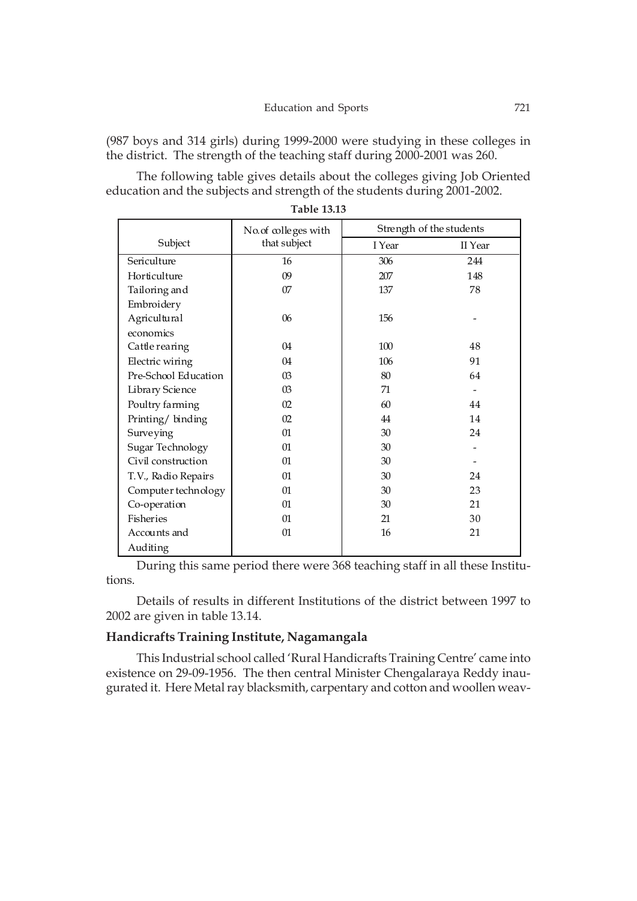(987 boys and 314 girls) during 1999-2000 were studying in these colleges in the district. The strength of the teaching staff during 2000-2001 was 260.

The following table gives details about the colleges giving Job Oriented education and the subjects and strength of the students during 2001-2002.

|                      | No. of colleges with |        | Strength of the students |
|----------------------|----------------------|--------|--------------------------|
| Subject              | that subject         | I Year | II Year                  |
| Sericulture          | 16                   | 306    | 244                      |
| Horticulture         | 09                   | 207    | 148                      |
| Tailoring and        | 07                   | 137    | 78                       |
| Embroidery           |                      |        |                          |
| Agricultural         | 06                   | 156    |                          |
| economics            |                      |        |                          |
| Cattle rearing       | 04                   | 100    | 48                       |
| Electric wiring      | 04                   | 106    | 91                       |
| Pre-School Education | 03                   | 80     | 64                       |
| Library Science      | 03                   | 71     |                          |
| Poultry farming      | 02                   | 60     | 44                       |
| Printing/binding     | 02                   | 44     | 14                       |
| Surveying            | $_{01}$              | 30     | 24                       |
| Sugar Technology     | 01                   | 30     |                          |
| Civil construction   | $_{01}$              | 30     |                          |
| T.V., Radio Repairs  | 01                   | 30     | 24                       |
| Computer technology  | $_{01}$              | 30     | 23                       |
| Co-operation         | $_{01}$              | 30     | 21                       |
| Fisheries            | 01                   | 21     | 30                       |
| Accounts and         | $_{01}$              | 16     | 21                       |
| Auditing             |                      |        |                          |

**Table 13.13**

During this same period there were 368 teaching staff in all these Institutions.

Details of results in different Institutions of the district between 1997 to 2002 are given in table 13.14.

# **Handicrafts Training Institute, Nagamangala**

This Industrial school called 'Rural Handicrafts Training Centre' came into existence on 29-09-1956. The then central Minister Chengalaraya Reddy inaugurated it. Here Metal ray blacksmith, carpentary and cotton and woollen weav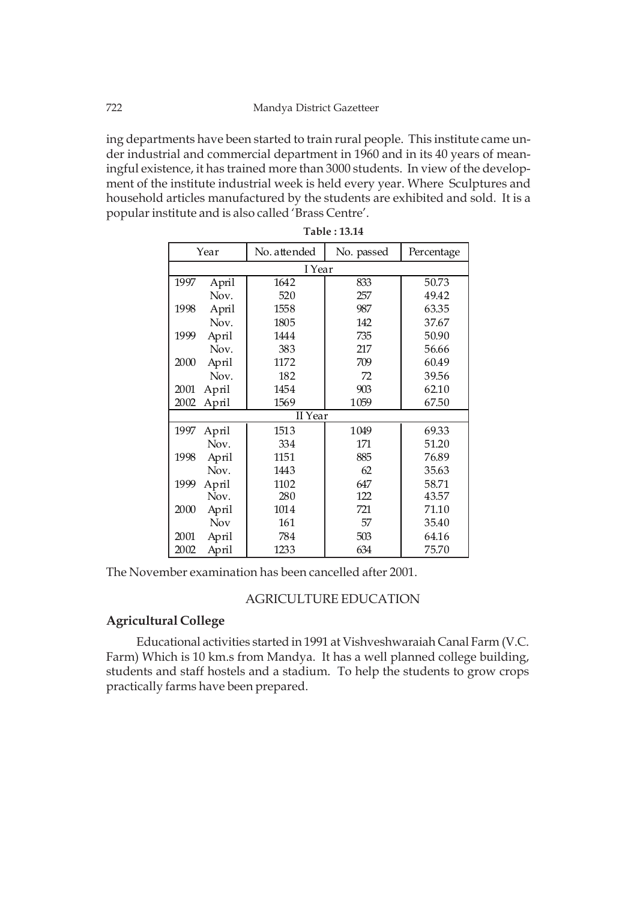ing departments have been started to train rural people. This institute came under industrial and commercial department in 1960 and in its 40 years of meaningful existence, it has trained more than 3000 students. In view of the development of the institute industrial week is held every year. Where Sculptures and household articles manufactured by the students are exhibited and sold. It is a popular institute and is also called 'Brass Centre'.

| Year          | No. attended | No. passed | Percentage |  |  |
|---------------|--------------|------------|------------|--|--|
| I Year        |              |            |            |  |  |
| 1997<br>April | 1642         | 833        | 50.73      |  |  |
| Nov.          | 520          | 257        | 49.42      |  |  |
| 1998<br>April | 1558         | 987        | 63.35      |  |  |
| Nov.          | 1805         | 142        | 37.67      |  |  |
| 1999<br>April | 1444         | 735        | 50.90      |  |  |
| Nov.          | 383          | 217        | 56.66      |  |  |
| 2000<br>April | 1172         | 709        | 60.49      |  |  |
| Nov.          | 182          | 72         | 39.56      |  |  |
| 2001<br>April | 1454         | 903        | 62.10      |  |  |
| 2002<br>April | 1569         | 1059       | 67.50      |  |  |
| II Year       |              |            |            |  |  |
| 1997<br>April | 1513         | 1049       | 69.33      |  |  |
| Nov.          | 334          | 171        | 51.20      |  |  |
| 1998<br>April | 1151         | 885        | 76.89      |  |  |
| Nov.          | 1443         | 62         | 35.63      |  |  |
| 1999<br>April | 1102         | 647        | 58.71      |  |  |
| Nov.          | 280          | 122        | 43.57      |  |  |
| 2000<br>April | 1014         | 721        | 71.10      |  |  |
| <b>Nov</b>    | 161          | 57         | 35.40      |  |  |
| 2001<br>April | 784          | 503        | 64.16      |  |  |
| April<br>2002 | 1233         | 634        | 75.70      |  |  |

**Table : 13.14**

The November examination has been cancelled after 2001.

# AGRICULTURE EDUCATION

# **Agricultural College**

Educational activities started in 1991 at Vishveshwaraiah Canal Farm (V.C. Farm) Which is 10 km.s from Mandya. It has a well planned college building, students and staff hostels and a stadium. To help the students to grow crops practically farms have been prepared.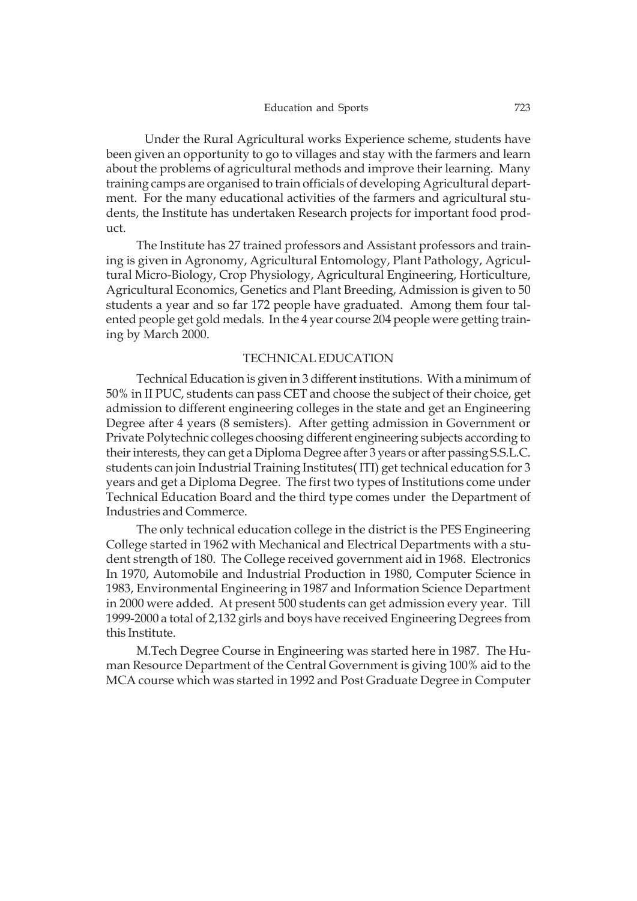Under the Rural Agricultural works Experience scheme, students have been given an opportunity to go to villages and stay with the farmers and learn about the problems of agricultural methods and improve their learning. Many training camps are organised to train officials of developing Agricultural department. For the many educational activities of the farmers and agricultural students, the Institute has undertaken Research projects for important food product.

The Institute has 27 trained professors and Assistant professors and training is given in Agronomy, Agricultural Entomology, Plant Pathology, Agricultural Micro-Biology, Crop Physiology, Agricultural Engineering, Horticulture, Agricultural Economics, Genetics and Plant Breeding, Admission is given to 50 students a year and so far 172 people have graduated. Among them four talented people get gold medals. In the 4 year course 204 people were getting training by March 2000.

# TECHNICAL EDUCATION

Technical Education is given in 3 different institutions. With a minimum of 50% in II PUC, students can pass CET and choose the subject of their choice, get admission to different engineering colleges in the state and get an Engineering Degree after 4 years (8 semisters). After getting admission in Government or Private Polytechnic colleges choosing different engineering subjects according to their interests, they can get a Diploma Degree after 3 years or after passing S.S.L.C. students can join Industrial Training Institutes( ITI) get technical education for 3 years and get a Diploma Degree. The first two types of Institutions come under Technical Education Board and the third type comes under the Department of Industries and Commerce.

The only technical education college in the district is the PES Engineering College started in 1962 with Mechanical and Electrical Departments with a student strength of 180. The College received government aid in 1968. Electronics In 1970, Automobile and Industrial Production in 1980, Computer Science in 1983, Environmental Engineering in 1987 and Information Science Department in 2000 were added. At present 500 students can get admission every year. Till 1999-2000 a total of 2,132 girls and boys have received Engineering Degrees from this Institute.

M.Tech Degree Course in Engineering was started here in 1987. The Human Resource Department of the Central Government is giving 100% aid to the MCA course which was started in 1992 and Post Graduate Degree in Computer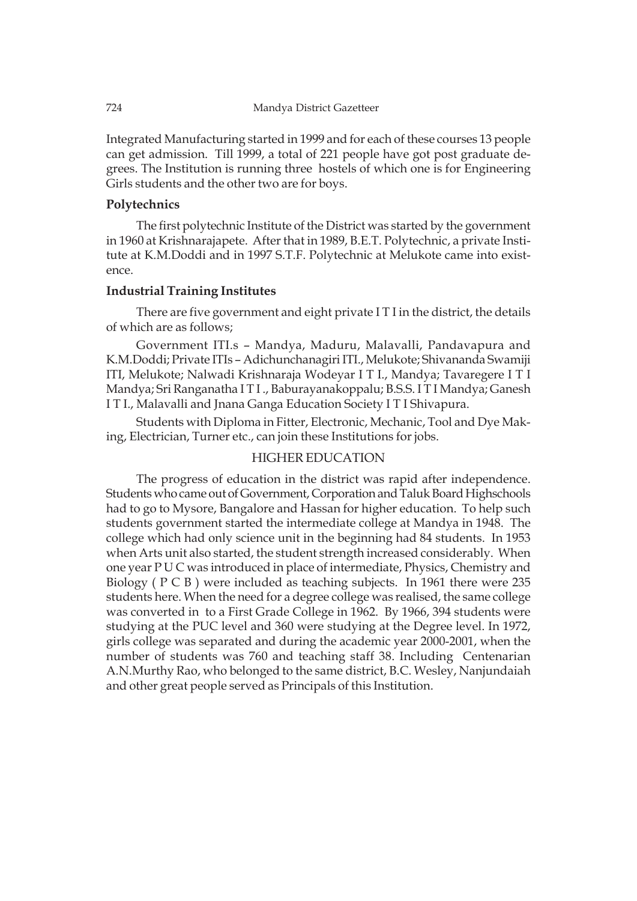Integrated Manufacturing started in 1999 and for each of these courses 13 people can get admission. Till 1999, a total of 221 people have got post graduate degrees. The Institution is running three hostels of which one is for Engineering Girls students and the other two are for boys.

# **Polytechnics**

The first polytechnic Institute of the District was started by the government in 1960 at Krishnarajapete. After that in 1989, B.E.T. Polytechnic, a private Institute at K.M.Doddi and in 1997 S.T.F. Polytechnic at Melukote came into existence.

#### **Industrial Training Institutes**

There are five government and eight private I T I in the district, the details of which are as follows;

Government ITI.s – Mandya, Maduru, Malavalli, Pandavapura and K.M.Doddi; Private ITIs – Adichunchanagiri ITI., Melukote; Shivananda Swamiji ITI, Melukote; Nalwadi Krishnaraja Wodeyar I T I., Mandya; Tavaregere I T I Mandya; Sri Ranganatha I T I ., Baburayanakoppalu; B.S.S. I T I Mandya; Ganesh I T I., Malavalli and Jnana Ganga Education Society I T I Shivapura.

Students with Diploma in Fitter, Electronic, Mechanic, Tool and Dye Making, Electrician, Turner etc., can join these Institutions for jobs.

## HIGHER EDUCATION

The progress of education in the district was rapid after independence. Students who came out of Government, Corporation and Taluk Board Highschools had to go to Mysore, Bangalore and Hassan for higher education. To help such students government started the intermediate college at Mandya in 1948. The college which had only science unit in the beginning had 84 students. In 1953 when Arts unit also started, the student strength increased considerably. When one year P U C was introduced in place of intermediate, Physics, Chemistry and Biology ( P C B ) were included as teaching subjects. In 1961 there were 235 students here. When the need for a degree college was realised, the same college was converted in to a First Grade College in 1962. By 1966, 394 students were studying at the PUC level and 360 were studying at the Degree level. In 1972, girls college was separated and during the academic year 2000-2001, when the number of students was 760 and teaching staff 38. Including Centenarian A.N.Murthy Rao, who belonged to the same district, B.C. Wesley, Nanjundaiah and other great people served as Principals of this Institution.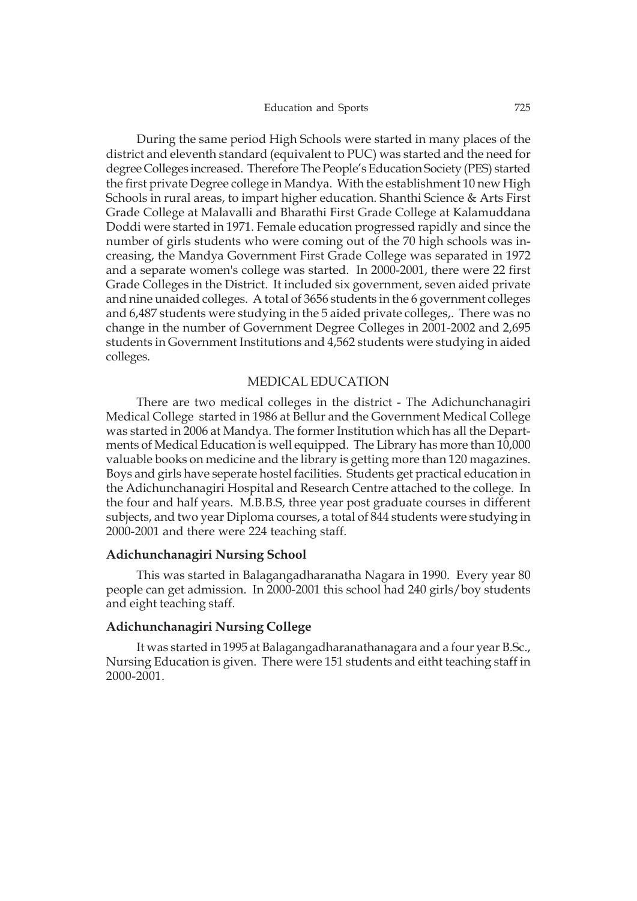During the same period High Schools were started in many places of the district and eleventh standard (equivalent to PUC) was started and the need for degree Colleges increased. Therefore The People's Education Society (PES) started the first private Degree college in Mandya. With the establishment 10 new High Schools in rural areas, to impart higher education. Shanthi Science & Arts First Grade College at Malavalli and Bharathi First Grade College at Kalamuddana Doddi were started in 1971. Female education progressed rapidly and since the number of girls students who were coming out of the 70 high schools was increasing, the Mandya Government First Grade College was separated in 1972 and a separate women's college was started. In 2000-2001, there were 22 first Grade Colleges in the District. It included six government, seven aided private and nine unaided colleges. A total of 3656 students in the 6 government colleges and 6,487 students were studying in the 5 aided private colleges,. There was no change in the number of Government Degree Colleges in 2001-2002 and 2,695 students in Government Institutions and 4,562 students were studying in aided colleges.

#### MEDICAL EDUCATION

There are two medical colleges in the district - The Adichunchanagiri Medical College started in 1986 at Bellur and the Government Medical College was started in 2006 at Mandya. The former Institution which has all the Departments of Medical Education is well equipped. The Library has more than 10,000 valuable books on medicine and the library is getting more than 120 magazines. Boys and girls have seperate hostel facilities. Students get practical education in the Adichunchanagiri Hospital and Research Centre attached to the college. In the four and half years. M.B.B.S, three year post graduate courses in different subjects, and two year Diploma courses, a total of 844 students were studying in 2000-2001 and there were 224 teaching staff.

#### **Adichunchanagiri Nursing School**

This was started in Balagangadharanatha Nagara in 1990. Every year 80 people can get admission. In 2000-2001 this school had 240 girls/boy students and eight teaching staff.

# **Adichunchanagiri Nursing College**

It was started in 1995 at Balagangadharanathanagara and a four year B.Sc., Nursing Education is given. There were 151 students and eitht teaching staff in 2000-2001.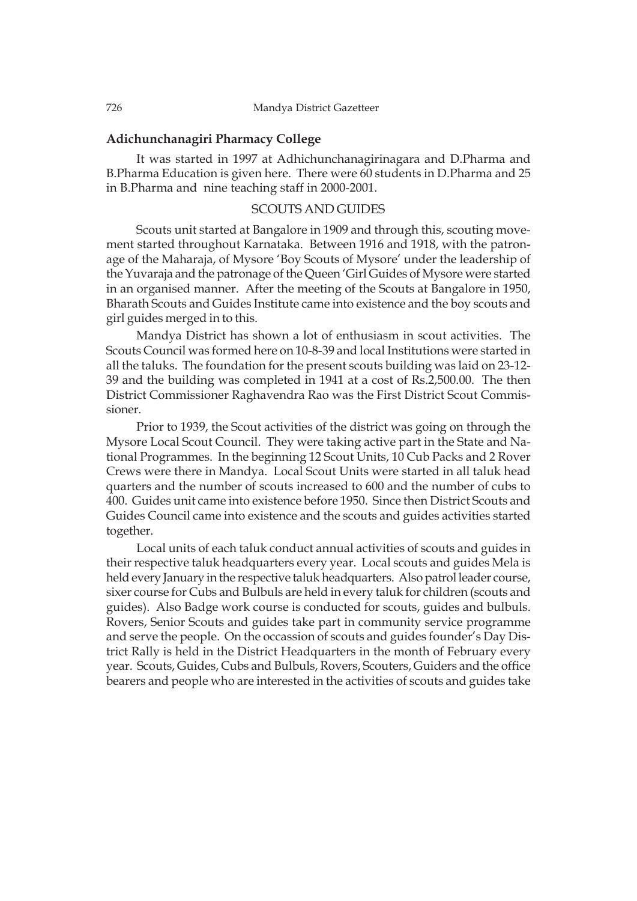# **Adichunchanagiri Pharmacy College**

It was started in 1997 at Adhichunchanagirinagara and D.Pharma and B.Pharma Education is given here. There were 60 students in D.Pharma and 25 in B.Pharma and nine teaching staff in 2000-2001.

# SCOUTS AND GUIDES

Scouts unit started at Bangalore in 1909 and through this, scouting movement started throughout Karnataka. Between 1916 and 1918, with the patronage of the Maharaja, of Mysore 'Boy Scouts of Mysore' under the leadership of the Yuvaraja and the patronage of the Queen 'Girl Guides of Mysore were started in an organised manner. After the meeting of the Scouts at Bangalore in 1950, Bharath Scouts and Guides Institute came into existence and the boy scouts and girl guides merged in to this.

Mandya District has shown a lot of enthusiasm in scout activities. The Scouts Council was formed here on 10-8-39 and local Institutions were started in all the taluks. The foundation for the present scouts building was laid on 23-12- 39 and the building was completed in 1941 at a cost of Rs.2,500.00. The then District Commissioner Raghavendra Rao was the First District Scout Commissioner.

Prior to 1939, the Scout activities of the district was going on through the Mysore Local Scout Council. They were taking active part in the State and National Programmes. In the beginning 12 Scout Units, 10 Cub Packs and 2 Rover Crews were there in Mandya. Local Scout Units were started in all taluk head quarters and the number of scouts increased to 600 and the number of cubs to 400. Guides unit came into existence before 1950. Since then District Scouts and Guides Council came into existence and the scouts and guides activities started together.

Local units of each taluk conduct annual activities of scouts and guides in their respective taluk headquarters every year. Local scouts and guides Mela is held every January in the respective taluk headquarters. Also patrol leader course, sixer course for Cubs and Bulbuls are held in every taluk for children (scouts and guides). Also Badge work course is conducted for scouts, guides and bulbuls. Rovers, Senior Scouts and guides take part in community service programme and serve the people. On the occassion of scouts and guides founder's Day District Rally is held in the District Headquarters in the month of February every year. Scouts, Guides, Cubs and Bulbuls, Rovers, Scouters, Guiders and the office bearers and people who are interested in the activities of scouts and guides take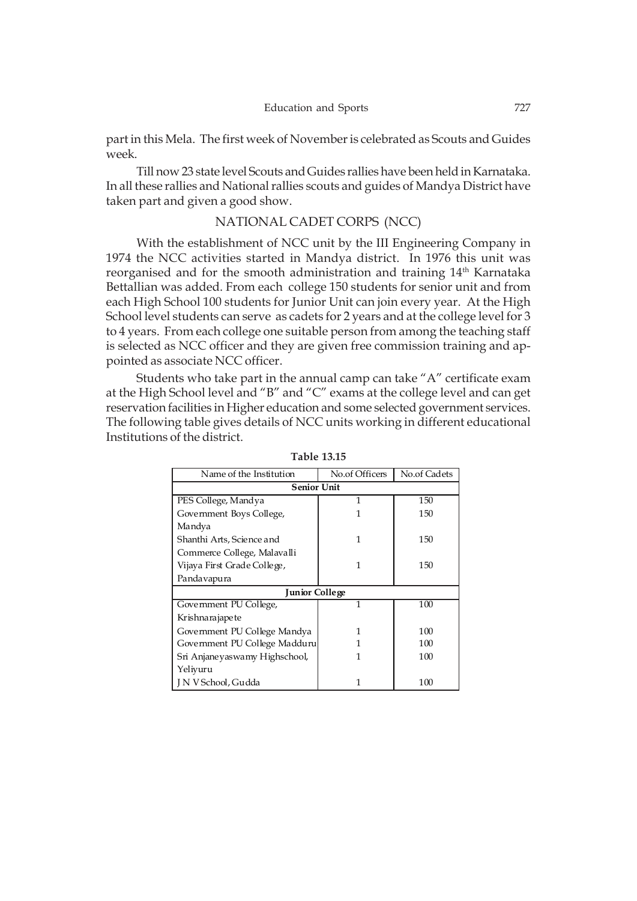part in this Mela. The first week of November is celebrated as Scouts and Guides week.

Till now 23 state level Scouts and Guides rallies have been held in Karnataka. In all these rallies and National rallies scouts and guides of Mandya District have taken part and given a good show.

# NATIONAL CADET CORPS (NCC)

With the establishment of NCC unit by the III Engineering Company in 1974 the NCC activities started in Mandya district. In 1976 this unit was reorganised and for the smooth administration and training  $14<sup>th</sup>$  Karnataka Bettallian was added. From each college 150 students for senior unit and from each High School 100 students for Junior Unit can join every year. At the High School level students can serve as cadets for 2 years and at the college level for 3 to 4 years. From each college one suitable person from among the teaching staff is selected as NCC officer and they are given free commission training and appointed as associate NCC officer.

Students who take part in the annual camp can take "A" certificate exam at the High School level and "B" and "C" exams at the college level and can get reservation facilities in Higher education and some selected government services. The following table gives details of NCC units working in different educational Institutions of the district.

| Name of the Institution       | No.of Officers | No.of Cadets |  |  |  |
|-------------------------------|----------------|--------------|--|--|--|
| <b>Senior Unit</b>            |                |              |  |  |  |
| PES College, Mandya           | 1              | 150          |  |  |  |
| Government Boys College,      | 1              | 150          |  |  |  |
| Mandya                        |                |              |  |  |  |
| Shanthi Arts, Science and     | 1              | 150          |  |  |  |
| Commerce College, Malavalli   |                |              |  |  |  |
| Vijaya First Grade College,   | 1              | 150          |  |  |  |
| Pandavapura                   |                |              |  |  |  |
| <b>Junior College</b>         |                |              |  |  |  |
| Government PU College,        | 1              | 100          |  |  |  |
| Krishnarajapete               |                |              |  |  |  |
| Government PU College Mandya  | 1              | 100          |  |  |  |
| Government PU College Madduru | 1              | 100          |  |  |  |
| Sri Anjaneyaswamy Highschool, | 1              | 100          |  |  |  |
| Yeliyuru                      |                |              |  |  |  |
| J N V School, Gudda           | 1              | 100          |  |  |  |

**Table 13.15**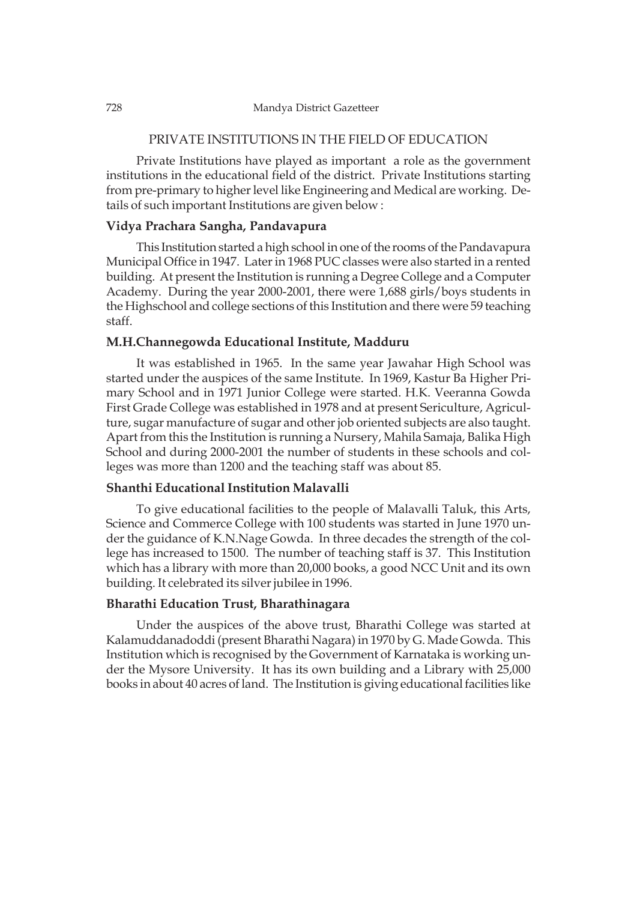# PRIVATE INSTITUTIONS IN THE FIELD OF EDUCATION

Private Institutions have played as important a role as the government institutions in the educational field of the district. Private Institutions starting from pre-primary to higher level like Engineering and Medical are working. Details of such important Institutions are given below :

# **Vidya Prachara Sangha, Pandavapura**

This Institution started a high school in one of the rooms of the Pandavapura Municipal Office in 1947. Later in 1968 PUC classes were also started in a rented building. At present the Institution is running a Degree College and a Computer Academy. During the year 2000-2001, there were 1,688 girls/boys students in the Highschool and college sections of this Institution and there were 59 teaching staff.

#### **M.H.Channegowda Educational Institute, Madduru**

It was established in 1965. In the same year Jawahar High School was started under the auspices of the same Institute. In 1969, Kastur Ba Higher Primary School and in 1971 Junior College were started. H.K. Veeranna Gowda First Grade College was established in 1978 and at present Sericulture, Agriculture, sugar manufacture of sugar and other job oriented subjects are also taught. Apart from this the Institution is running a Nursery, Mahila Samaja, Balika High School and during 2000-2001 the number of students in these schools and colleges was more than 1200 and the teaching staff was about 85.

# **Shanthi Educational Institution Malavalli**

To give educational facilities to the people of Malavalli Taluk, this Arts, Science and Commerce College with 100 students was started in June 1970 under the guidance of K.N.Nage Gowda. In three decades the strength of the college has increased to 1500. The number of teaching staff is 37. This Institution which has a library with more than 20,000 books, a good NCC Unit and its own building. It celebrated its silver jubilee in 1996.

# **Bharathi Education Trust, Bharathinagara**

Under the auspices of the above trust, Bharathi College was started at Kalamuddanadoddi (present Bharathi Nagara) in 1970 by G. Made Gowda. This Institution which is recognised by the Government of Karnataka is working under the Mysore University. It has its own building and a Library with 25,000 books in about 40 acres of land. The Institution is giving educational facilities like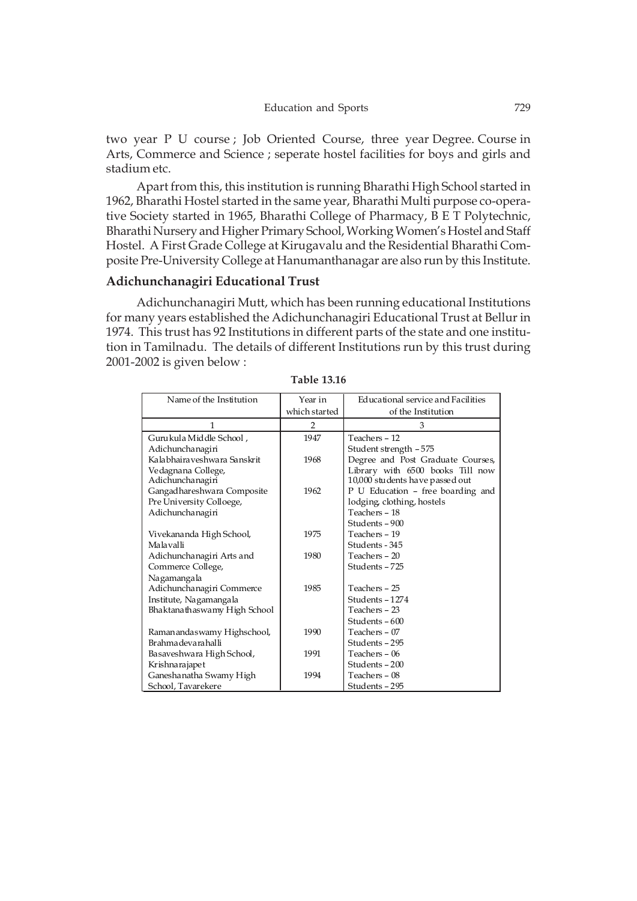two year P U course ; Job Oriented Course, three year Degree. Course in Arts, Commerce and Science ; seperate hostel facilities for boys and girls and stadium etc.

Apart from this, this institution is running Bharathi High School started in 1962, Bharathi Hostel started in the same year, Bharathi Multi purpose co-operative Society started in 1965, Bharathi College of Pharmacy, B E T Polytechnic, Bharathi Nursery and Higher Primary School, Working Women's Hostel and Staff Hostel. A First Grade College at Kirugavalu and the Residential Bharathi Composite Pre-University College at Hanumanthanagar are also run by this Institute.

#### **Adichunchanagiri Educational Trust**

Adichunchanagiri Mutt, which has been running educational Institutions for many years established the Adichunchanagiri Educational Trust at Bellur in 1974. This trust has 92 Institutions in different parts of the state and one institution in Tamilnadu. The details of different Institutions run by this trust during 2001-2002 is given below :

| Name of the Institution      | Year in       | Educational service and Facilities |
|------------------------------|---------------|------------------------------------|
|                              | which started | of the Institution                 |
| 1                            | 2             | 3                                  |
| Guru kula Middle School,     | 1947          | Teachers - 12                      |
| Adichunchanagiri             |               | Student strength - 575             |
| Kalabhaira veshwara Sanskrit | 1968          | Degree and Post Graduate Courses,  |
| Vedagnana College,           |               | Library with 6500 books Till now   |
| Adichunchanagiri             |               | 10,000 students have passed out    |
| Gangad hareshwara Composite  | 1962          | P U Education - free boarding and  |
| Pre University Colloege,     |               | lodging, clothing, hostels         |
| Adichunchanagiri             |               | Teachers - 18                      |
|                              |               | Students - 900                     |
| Vivekananda High School,     | 1975          | Teachers - 19                      |
| Malavalli                    |               | Students - 345                     |
| Adichunchanagiri Arts and    | 1980          | Teachers - 20                      |
| Commerce College,            |               | Students-725                       |
| Nagamangala                  |               |                                    |
| Adichunchanagiri Commerce    | 1985          | Teachers - 25                      |
| Institute, Nagamangala       |               | Students-1274                      |
| Bhaktanathaswamy High School |               | Teachers - 23                      |
|                              |               | Students - 600                     |
| Ramanandaswamy Highschool,   | 1990          | Teachers - 07                      |
| Brahma devara halli          |               | Students - 295                     |
| Basaveshwara High School,    | 1991          | Teachers - 06                      |
| Krishnarajapet               |               | Students - 200                     |
| Ganesha natha Swamy High     | 1994          | Teachers - 08                      |
| School, Tavarekere           |               | Students - 295                     |

**Table 13.16**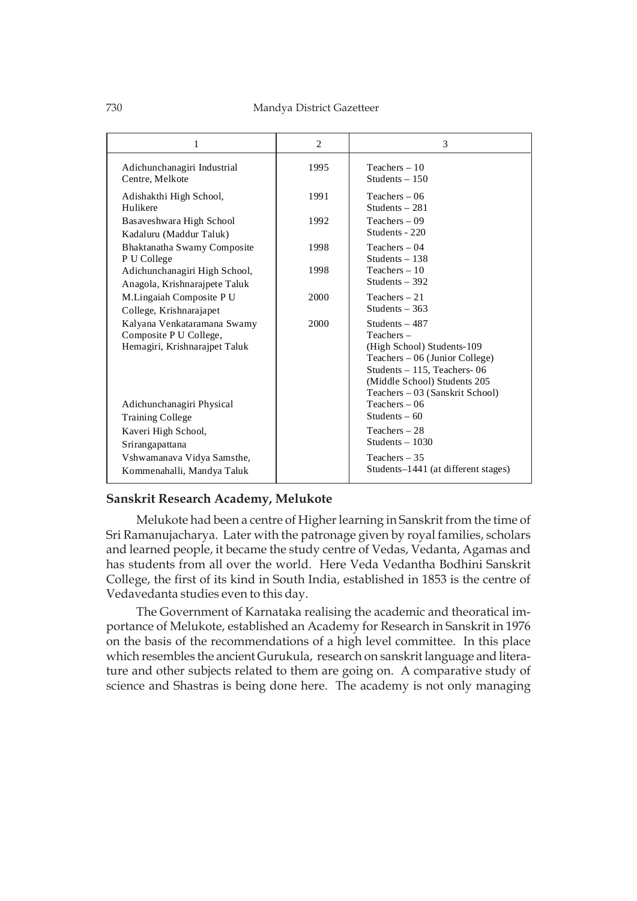| 1                                                                                      | 2    | 3                                                                                                                                                                                                |
|----------------------------------------------------------------------------------------|------|--------------------------------------------------------------------------------------------------------------------------------------------------------------------------------------------------|
| Adichunchanagiri Industrial<br>Centre, Melkote                                         | 1995 | Teachers $-10$<br>Students $-150$                                                                                                                                                                |
| Adishakthi High School,<br>Hulikere                                                    | 1991 | $Teaches - 06$<br>Students $-281$                                                                                                                                                                |
| Basaveshwara High School<br>Kadaluru (Maddur Taluk)                                    | 1992 | $Teaches - 09$<br>Students - 220                                                                                                                                                                 |
| Bhaktanatha Swamy Composite<br>P U College                                             | 1998 | $Teaches - 04$<br>Students $-138$                                                                                                                                                                |
| Adichunchanagiri High School,<br>Anagola, Krishnarajpete Taluk                         | 1998 | $Teaches - 10$<br>Students $-392$                                                                                                                                                                |
| M.Lingaiah Composite PU<br>College, Krishnarajapet                                     | 2000 | Teachers $-21$<br>Students $-363$                                                                                                                                                                |
| Kalyana Venkataramana Swamy<br>Composite P U College,<br>Hemagiri, Krishnarajpet Taluk | 2000 | Students $-487$<br>$Teaches -$<br>(High School) Students-109<br>Teachers – 06 (Junior College)<br>Students - 115, Teachers-06<br>(Middle School) Students 205<br>Teachers – 03 (Sanskrit School) |
| Adichunchanagiri Physical                                                              |      | $Teaches - 06$<br>Students $-60$                                                                                                                                                                 |
| <b>Training College</b><br>Kaveri High School,<br>Srirangapattana                      |      | Teachers $-28$<br>Students $-1030$                                                                                                                                                               |
| Vshwamanava Vidya Samsthe,<br>Kommenahalli, Mandya Taluk                               |      | Teachers $-35$<br>Students-1441 (at different stages)                                                                                                                                            |

# **Sanskrit Research Academy, Melukote**

Melukote had been a centre of Higher learning in Sanskrit from the time of Sri Ramanujacharya. Later with the patronage given by royal families, scholars and learned people, it became the study centre of Vedas, Vedanta, Agamas and has students from all over the world. Here Veda Vedantha Bodhini Sanskrit College, the first of its kind in South India, established in 1853 is the centre of Vedavedanta studies even to this day.

The Government of Karnataka realising the academic and theoratical importance of Melukote, established an Academy for Research in Sanskrit in 1976 on the basis of the recommendations of a high level committee. In this place which resembles the ancient Gurukula, research on sanskrit language and literature and other subjects related to them are going on. A comparative study of science and Shastras is being done here. The academy is not only managing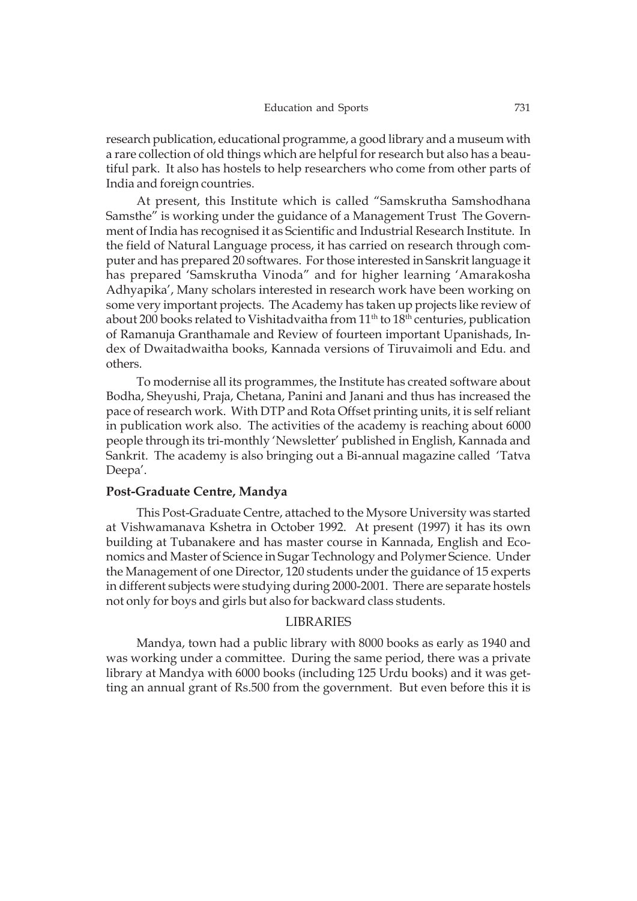research publication, educational programme, a good library and a museum with a rare collection of old things which are helpful for research but also has a beautiful park. It also has hostels to help researchers who come from other parts of India and foreign countries.

At present, this Institute which is called "Samskrutha Samshodhana Samsthe" is working under the guidance of a Management Trust The Government of India has recognised it as Scientific and Industrial Research Institute. In the field of Natural Language process, it has carried on research through computer and has prepared 20 softwares. For those interested in Sanskrit language it has prepared 'Samskrutha Vinoda" and for higher learning 'Amarakosha Adhyapika', Many scholars interested in research work have been working on some very important projects. The Academy has taken up projects like review of about 200 books related to Vishitadvaitha from 11<sup>th</sup> to 18<sup>th</sup> centuries, publication of Ramanuja Granthamale and Review of fourteen important Upanishads, Index of Dwaitadwaitha books, Kannada versions of Tiruvaimoli and Edu. and others.

To modernise all its programmes, the Institute has created software about Bodha, Sheyushi, Praja, Chetana, Panini and Janani and thus has increased the pace of research work. With DTP and Rota Offset printing units, it is self reliant in publication work also. The activities of the academy is reaching about 6000 people through its tri-monthly 'Newsletter' published in English, Kannada and Sankrit. The academy is also bringing out a Bi-annual magazine called 'Tatva Deepa'.

#### **Post-Graduate Centre, Mandya**

This Post-Graduate Centre, attached to the Mysore University was started at Vishwamanava Kshetra in October 1992. At present (1997) it has its own building at Tubanakere and has master course in Kannada, English and Economics and Master of Science in Sugar Technology and Polymer Science. Under the Management of one Director, 120 students under the guidance of 15 experts in different subjects were studying during 2000-2001. There are separate hostels not only for boys and girls but also for backward class students.

# LIBRARIES

Mandya, town had a public library with 8000 books as early as 1940 and was working under a committee. During the same period, there was a private library at Mandya with 6000 books (including 125 Urdu books) and it was getting an annual grant of Rs.500 from the government. But even before this it is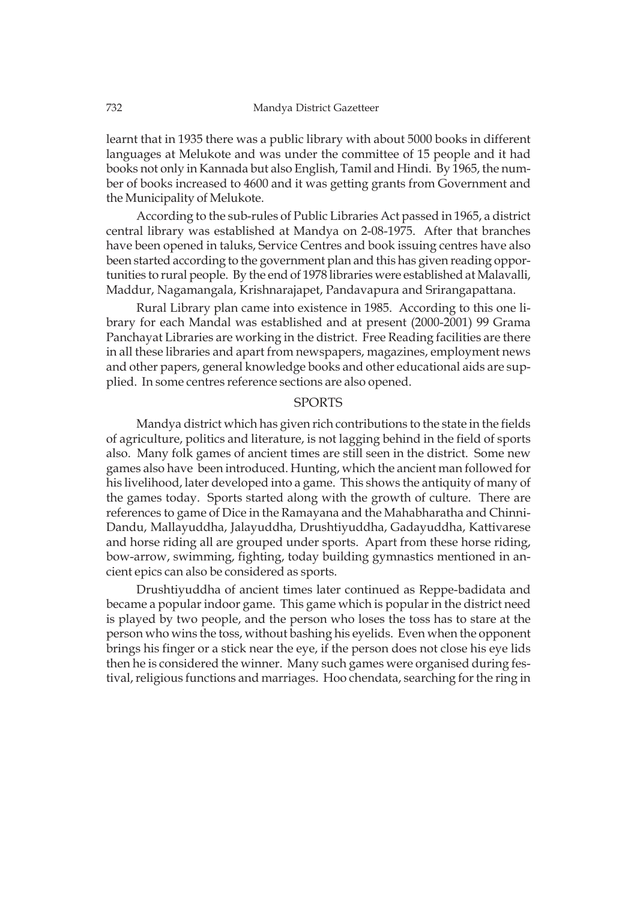learnt that in 1935 there was a public library with about 5000 books in different languages at Melukote and was under the committee of 15 people and it had books not only in Kannada but also English, Tamil and Hindi. By 1965, the number of books increased to 4600 and it was getting grants from Government and the Municipality of Melukote.

According to the sub-rules of Public Libraries Act passed in 1965, a district central library was established at Mandya on 2-08-1975. After that branches have been opened in taluks, Service Centres and book issuing centres have also been started according to the government plan and this has given reading opportunities to rural people. By the end of 1978 libraries were established at Malavalli, Maddur, Nagamangala, Krishnarajapet, Pandavapura and Srirangapattana.

Rural Library plan came into existence in 1985. According to this one library for each Mandal was established and at present (2000-2001) 99 Grama Panchayat Libraries are working in the district. Free Reading facilities are there in all these libraries and apart from newspapers, magazines, employment news and other papers, general knowledge books and other educational aids are supplied. In some centres reference sections are also opened.

#### SPORTS

Mandya district which has given rich contributions to the state in the fields of agriculture, politics and literature, is not lagging behind in the field of sports also. Many folk games of ancient times are still seen in the district. Some new games also have been introduced. Hunting, which the ancient man followed for his livelihood, later developed into a game. This shows the antiquity of many of the games today. Sports started along with the growth of culture. There are references to game of Dice in the Ramayana and the Mahabharatha and Chinni-Dandu, Mallayuddha, Jalayuddha, Drushtiyuddha, Gadayuddha, Kattivarese and horse riding all are grouped under sports. Apart from these horse riding, bow-arrow, swimming, fighting, today building gymnastics mentioned in ancient epics can also be considered as sports.

Drushtiyuddha of ancient times later continued as Reppe-badidata and became a popular indoor game. This game which is popular in the district need is played by two people, and the person who loses the toss has to stare at the person who wins the toss, without bashing his eyelids. Even when the opponent brings his finger or a stick near the eye, if the person does not close his eye lids then he is considered the winner. Many such games were organised during festival, religious functions and marriages. Hoo chendata, searching for the ring in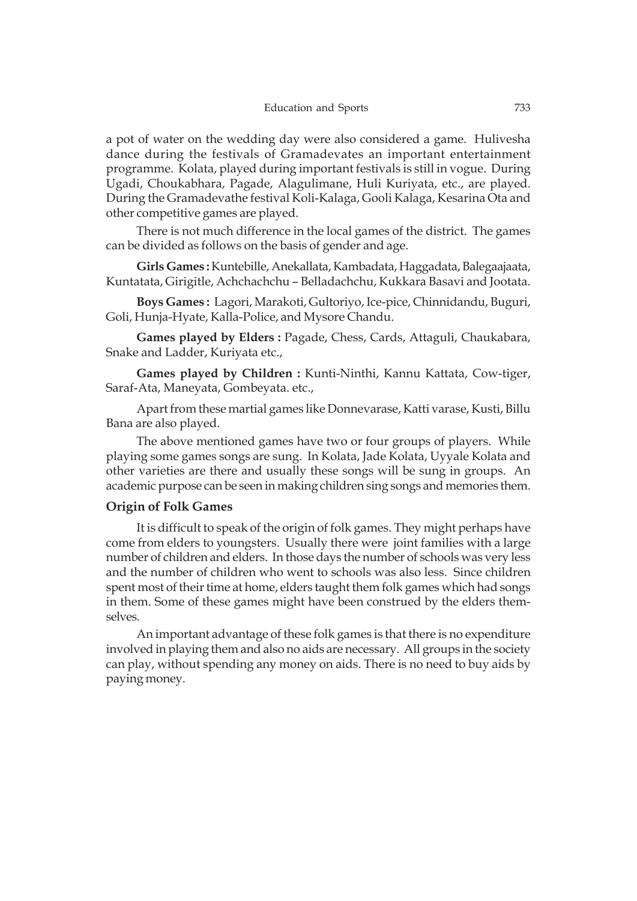a pot of water on the wedding day were also considered a game. Hulivesha dance during the festivals of Gramadevates an important entertainment programme. Kolata, played during important festivals is still in vogue. During Ugadi, Choukabhara, Pagade, Alagulimane, Huli Kuriyata, etc., are played. During the Gramadevathe festival Koli-Kalaga, Gooli Kalaga, Kesarina Ota and other competitive games are played.

There is not much difference in the local games of the district. The games can be divided as follows on the basis of gender and age.

**Girls Games :** Kuntebille, Anekallata, Kambadata, Haggadata, Balegaajaata, Kuntatata, Girigitle, Achchachchu – Belladachchu, Kukkara Basavi and Jootata.

**Boys Games :** Lagori, Marakoti, Gultoriyo, Ice-pice, Chinnidandu, Buguri, Goli, Hunja-Hyate, Kalla-Police, and Mysore Chandu.

**Games played by Elders :** Pagade, Chess, Cards, Attaguli, Chaukabara, Snake and Ladder, Kuriyata etc.,

**Games played by Children :** Kunti-Ninthi, Kannu Kattata, Cow-tiger, Saraf-Ata, Maneyata, Gombeyata. etc.,

Apart from these martial games like Donnevarase, Katti varase, Kusti, Billu Bana are also played.

The above mentioned games have two or four groups of players. While playing some games songs are sung. In Kolata, Jade Kolata, Uyyale Kolata and other varieties are there and usually these songs will be sung in groups. An academic purpose can be seen in making children sing songs and memories them.

#### **Origin of Folk Games**

It is difficult to speak of the origin of folk games. They might perhaps have come from elders to youngsters. Usually there were joint families with a large number of children and elders. In those days the number of schools was very less and the number of children who went to schools was also less. Since children spent most of their time at home, elders taught them folk games which had songs in them. Some of these games might have been construed by the elders themselves.

An important advantage of these folk games is that there is no expenditure involved in playing them and also no aids are necessary. All groups in the society can play, without spending any money on aids. There is no need to buy aids by paying money.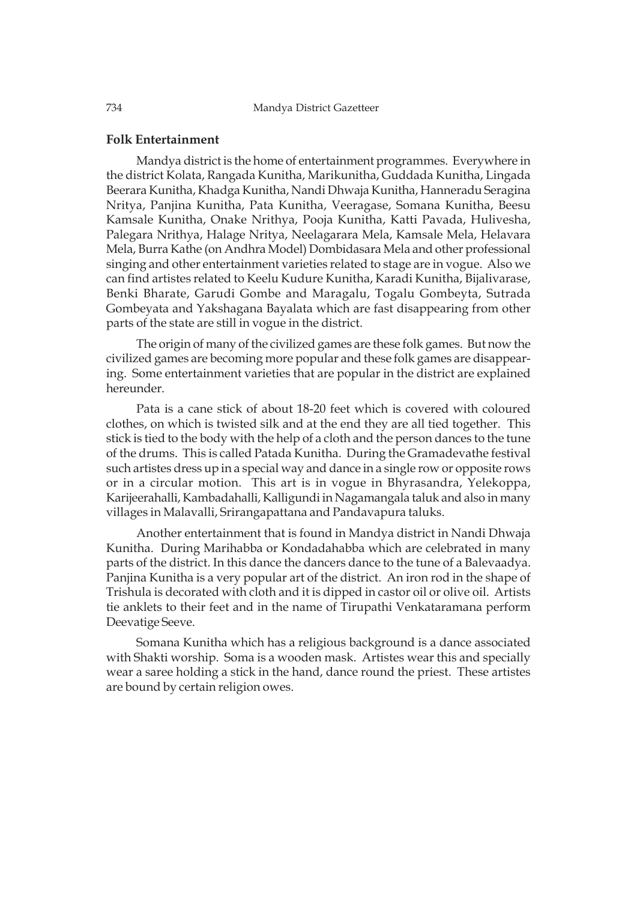#### **Folk Entertainment**

Mandya district is the home of entertainment programmes. Everywhere in the district Kolata, Rangada Kunitha, Marikunitha, Guddada Kunitha, Lingada Beerara Kunitha, Khadga Kunitha, Nandi Dhwaja Kunitha, Hanneradu Seragina Nritya, Panjina Kunitha, Pata Kunitha, Veeragase, Somana Kunitha, Beesu Kamsale Kunitha, Onake Nrithya, Pooja Kunitha, Katti Pavada, Hulivesha, Palegara Nrithya, Halage Nritya, Neelagarara Mela, Kamsale Mela, Helavara Mela, Burra Kathe (on Andhra Model) Dombidasara Mela and other professional singing and other entertainment varieties related to stage are in vogue. Also we can find artistes related to Keelu Kudure Kunitha, Karadi Kunitha, Bijalivarase, Benki Bharate, Garudi Gombe and Maragalu, Togalu Gombeyta, Sutrada Gombeyata and Yakshagana Bayalata which are fast disappearing from other parts of the state are still in vogue in the district.

The origin of many of the civilized games are these folk games. But now the civilized games are becoming more popular and these folk games are disappearing. Some entertainment varieties that are popular in the district are explained hereunder.

Pata is a cane stick of about 18-20 feet which is covered with coloured clothes, on which is twisted silk and at the end they are all tied together. This stick is tied to the body with the help of a cloth and the person dances to the tune of the drums. This is called Patada Kunitha. During the Gramadevathe festival such artistes dress up in a special way and dance in a single row or opposite rows or in a circular motion. This art is in vogue in Bhyrasandra, Yelekoppa, Karijeerahalli, Kambadahalli, Kalligundi in Nagamangala taluk and also in many villages in Malavalli, Srirangapattana and Pandavapura taluks.

Another entertainment that is found in Mandya district in Nandi Dhwaja Kunitha. During Marihabba or Kondadahabba which are celebrated in many parts of the district. In this dance the dancers dance to the tune of a Balevaadya. Panjina Kunitha is a very popular art of the district. An iron rod in the shape of Trishula is decorated with cloth and it is dipped in castor oil or olive oil. Artists tie anklets to their feet and in the name of Tirupathi Venkataramana perform Deevatige Seeve.

Somana Kunitha which has a religious background is a dance associated with Shakti worship. Soma is a wooden mask. Artistes wear this and specially wear a saree holding a stick in the hand, dance round the priest. These artistes are bound by certain religion owes.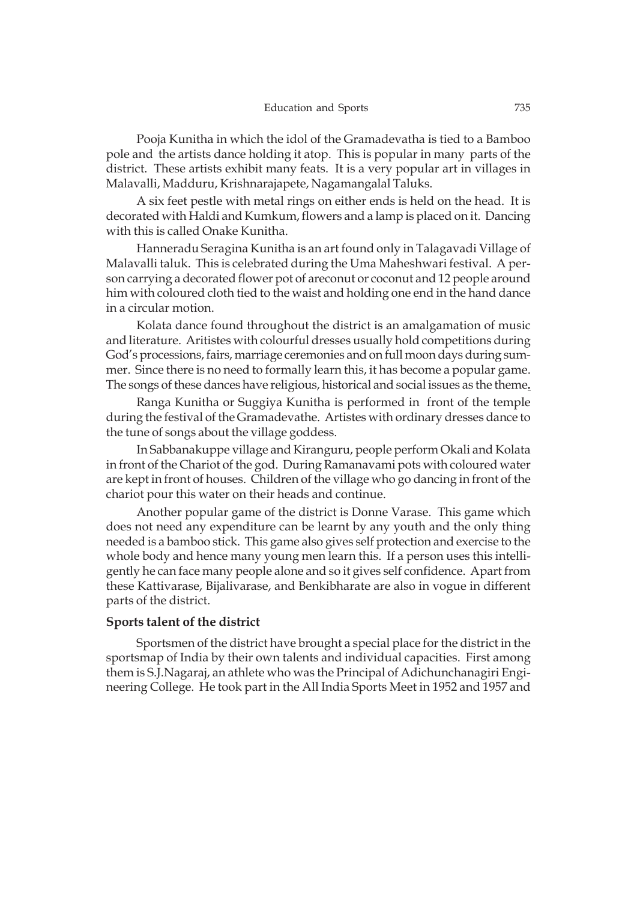Pooja Kunitha in which the idol of the Gramadevatha is tied to a Bamboo pole and the artists dance holding it atop. This is popular in many parts of the district. These artists exhibit many feats. It is a very popular art in villages in Malavalli, Madduru, Krishnarajapete, Nagamangalal Taluks.

A six feet pestle with metal rings on either ends is held on the head. It is decorated with Haldi and Kumkum, flowers and a lamp is placed on it. Dancing with this is called Onake Kunitha.

Hanneradu Seragina Kunitha is an art found only in Talagavadi Village of Malavalli taluk. This is celebrated during the Uma Maheshwari festival. A person carrying a decorated flower pot of areconut or coconut and 12 people around him with coloured cloth tied to the waist and holding one end in the hand dance in a circular motion.

Kolata dance found throughout the district is an amalgamation of music and literature. Aritistes with colourful dresses usually hold competitions during God's processions, fairs, marriage ceremonies and on full moon days during summer. Since there is no need to formally learn this, it has become a popular game. The songs of these dances have religious, historical and social issues as the theme**.**

Ranga Kunitha or Suggiya Kunitha is performed in front of the temple during the festival of the Gramadevathe. Artistes with ordinary dresses dance to the tune of songs about the village goddess.

In Sabbanakuppe village and Kiranguru, people perform Okali and Kolata in front of the Chariot of the god. During Ramanavami pots with coloured water are kept in front of houses. Children of the village who go dancing in front of the chariot pour this water on their heads and continue.

Another popular game of the district is Donne Varase. This game which does not need any expenditure can be learnt by any youth and the only thing needed is a bamboo stick. This game also gives self protection and exercise to the whole body and hence many young men learn this. If a person uses this intelligently he can face many people alone and so it gives self confidence. Apart from these Kattivarase, Bijalivarase, and Benkibharate are also in vogue in different parts of the district.

#### **Sports talent of the district**

Sportsmen of the district have brought a special place for the district in the sportsmap of India by their own talents and individual capacities. First among them is S.J.Nagaraj, an athlete who was the Principal of Adichunchanagiri Engineering College. He took part in the All India Sports Meet in 1952 and 1957 and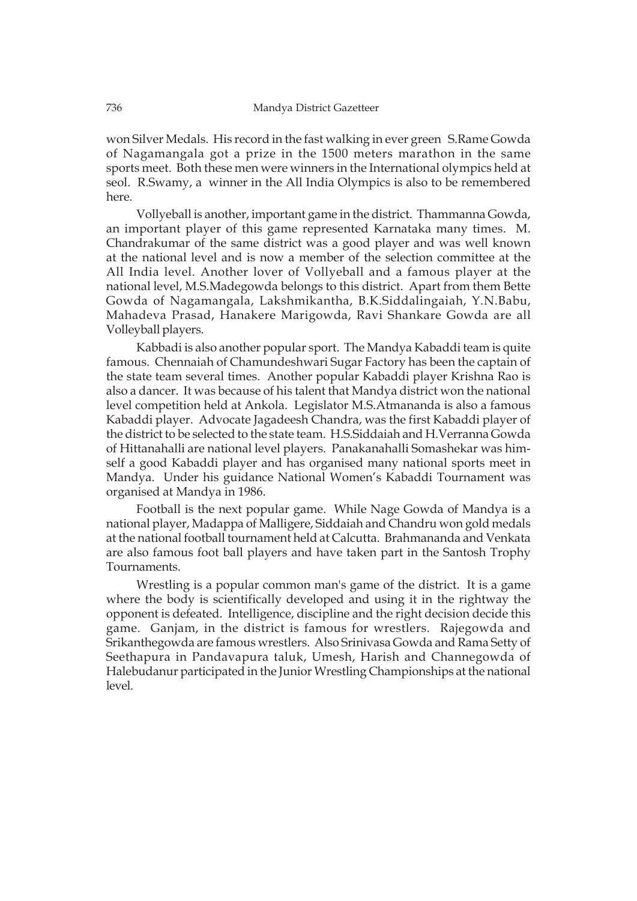won Silver Medals. His record in the fast walking in ever green S.Rame Gowda of Nagamangala got a prize in the 1500 meters marathon in the same sports meet. Both these men were winners in the International olympics held at seol. R.Swamy, a winner in the All India Olympics is also to be remembered here.

Vollyeball is another, important game in the district. Thammanna Gowda, an important player of this game represented Karnataka many times. M. Chandrakumar of the same district was a good player and was well known at the national level and is now a member of the selection committee at the All India level. Another lover of Vollyeball and a famous player at the national level, M.S.Madegowda belongs to this district. Apart from them Bette Gowda of Nagamangala, Lakshmikantha, B.K.Siddalingaiah, Y.N.Babu, Mahadeva Prasad, Hanakere Marigowda, Ravi Shankare Gowda are all Volleyball players.

Kabbadi is also another popular sport. The Mandya Kabaddi team is quite famous. Chennaiah of Chamundeshwari Sugar Factory has been the captain of the state team several times. Another popular Kabaddi player Krishna Rao is also a dancer. It was because of his talent that Mandya district won the national level competition held at Ankola. Legislator M.S.Atmananda is also a famous Kabaddi player. Advocate Jagadeesh Chandra, was the first Kabaddi player of the district to be selected to the state team. H.S.Siddaiah and H.Verranna Gowda of Hittanahalli are national level players. Panakanahalli Somashekar was himself a good Kabaddi player and has organised many national sports meet in Mandya. Under his guidance National Women's Kabaddi Tournament was organised at Mandya in 1986.

Football is the next popular game. While Nage Gowda of Mandya is a national player, Madappa of Malligere, Siddaiah and Chandru won gold medals at the national football tournament held at Calcutta. Brahmananda and Venkata are also famous foot ball players and have taken part in the Santosh Trophy Tournaments.

Wrestling is a popular common man's game of the district. It is a game where the body is scientifically developed and using it in the rightway the opponent is defeated. Intelligence, discipline and the right decision decide this game. Ganjam, in the district is famous for wrestlers. Rajegowda and Srikanthegowda are famous wrestlers. Also Srinivasa Gowda and Rama Setty of Seethapura in Pandavapura taluk, Umesh, Harish and Channegowda of Halebudanur participated in the Junior Wrestling Championships at the national level.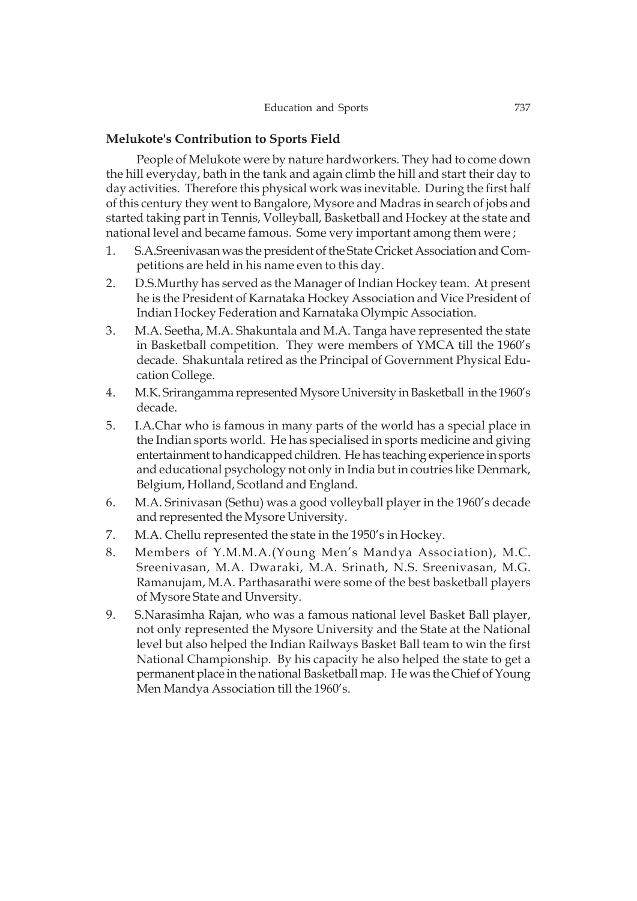# **Melukote's Contribution to Sports Field**

People of Melukote were by nature hardworkers. They had to come down the hill everyday, bath in the tank and again climb the hill and start their day to day activities. Therefore this physical work was inevitable. During the first half of this century they went to Bangalore, Mysore and Madras in search of jobs and started taking part in Tennis, Volleyball, Basketball and Hockey at the state and national level and became famous. Some very important among them were ;

- 1. S.A.Sreenivasan was the president of the State Cricket Association and Competitions are held in his name even to this day.
- 2. D.S.Murthy has served as the Manager of Indian Hockey team. At present he is the President of Karnataka Hockey Association and Vice President of Indian Hockey Federation and Karnataka Olympic Association.
- 3. M.A. Seetha, M.A. Shakuntala and M.A. Tanga have represented the state in Basketball competition. They were members of YMCA till the 1960's decade. Shakuntala retired as the Principal of Government Physical Education College.
- 4. M.K. Srirangamma represented Mysore University in Basketball in the 1960's decade.
- 5. I.A.Char who is famous in many parts of the world has a special place in the Indian sports world. He has specialised in sports medicine and giving entertainment to handicapped children. He has teaching experience in sports and educational psychology not only in India but in coutries like Denmark, Belgium, Holland, Scotland and England.
- 6. M.A. Srinivasan (Sethu) was a good volleyball player in the 1960's decade and represented the Mysore University.
- 7. M.A. Chellu represented the state in the 1950's in Hockey.
- 8. Members of Y.M.M.A.(Young Men's Mandya Association), M.C. Sreenivasan, M.A. Dwaraki, M.A. Srinath, N.S. Sreenivasan, M.G. Ramanujam, M.A. Parthasarathi were some of the best basketball players of Mysore State and Unversity.
- 9. S.Narasimha Rajan, who was a famous national level Basket Ball player, not only represented the Mysore University and the State at the National level but also helped the Indian Railways Basket Ball team to win the first National Championship. By his capacity he also helped the state to get a permanent place in the national Basketball map. He was the Chief of Young Men Mandya Association till the 1960's.